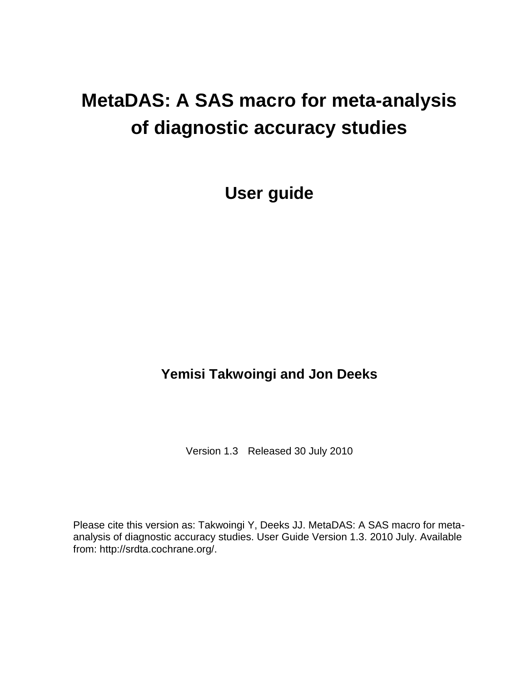# **MetaDAS: A SAS macro for meta-analysis of diagnostic accuracy studies**

**User guide**

# **Yemisi Takwoingi and Jon Deeks**

Version 1.3 Released 30 July 2010

Please cite this version as: Takwoingi Y, Deeks JJ. MetaDAS: A SAS macro for metaanalysis of diagnostic accuracy studies. User Guide Version 1.3. 2010 July. Available from: http://srdta.cochrane.org/.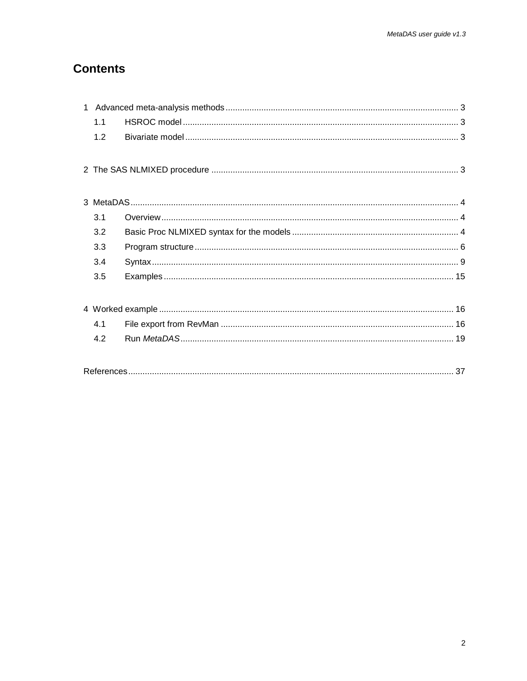# **Contents**

| 1.1 |  |  |
|-----|--|--|
| 1.2 |  |  |
|     |  |  |
|     |  |  |
|     |  |  |
|     |  |  |
| 3.1 |  |  |
| 3.2 |  |  |
| 3.3 |  |  |
| 3.4 |  |  |
| 3.5 |  |  |
|     |  |  |
|     |  |  |
| 4.1 |  |  |
| 4.2 |  |  |
|     |  |  |
|     |  |  |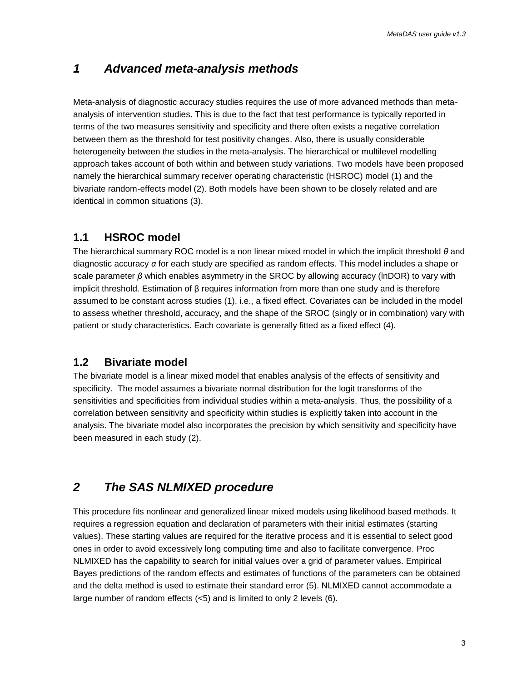# <span id="page-2-0"></span>*1 Advanced meta-analysis methods*

Meta-analysis of diagnostic accuracy studies requires the use of more advanced methods than metaanalysis of intervention studies. This is due to the fact that test performance is typically reported in terms of the two measures sensitivity and specificity and there often exists a negative correlation between them as the threshold for test positivity changes. Also, there is usually considerable heterogeneity between the studies in the meta-analysis. The hierarchical or multilevel modelling approach takes account of both within and between study variations. Two models have been proposed namely the hierarchical summary receiver operating characteristic (HSROC) model (1) and the bivariate random-effects model (2). Both models have been shown to be closely related and are identical in common situations (3).

# <span id="page-2-1"></span>**1.1 HSROC model**

The hierarchical summary ROC model is a non linear mixed model in which the implicit threshold *θ* and diagnostic accuracy *α* for each study are specified as random effects. This model includes a shape or scale parameter *β* which enables asymmetry in the SROC by allowing accuracy (lnDOR) to vary with implicit threshold. Estimation of β requires information from more than one study and is therefore assumed to be constant across studies (1), i.e., a fixed effect. Covariates can be included in the model to assess whether threshold, accuracy, and the shape of the SROC (singly or in combination) vary with patient or study characteristics. Each covariate is generally fitted as a fixed effect (4).

# <span id="page-2-2"></span>**1.2 Bivariate model**

The bivariate model is a linear mixed model that enables analysis of the effects of sensitivity and specificity. The model assumes a bivariate normal distribution for the logit transforms of the sensitivities and specificities from individual studies within a meta-analysis. Thus, the possibility of a correlation between sensitivity and specificity within studies is explicitly taken into account in the analysis. The bivariate model also incorporates the precision by which sensitivity and specificity have been measured in each study (2).

# <span id="page-2-3"></span>*2 The SAS NLMIXED procedure*

This procedure fits nonlinear and generalized linear mixed models using likelihood based methods. It requires a regression equation and declaration of parameters with their initial estimates (starting values). These starting values are required for the iterative process and it is essential to select good ones in order to avoid excessively long computing time and also to facilitate convergence. Proc NLMIXED has the capability to search for initial values over a grid of parameter values. Empirical Bayes predictions of the random effects and estimates of functions of the parameters can be obtained and the delta method is used to estimate their standard error (5). NLMIXED cannot accommodate a large number of random effects (<5) and is limited to only 2 levels (6).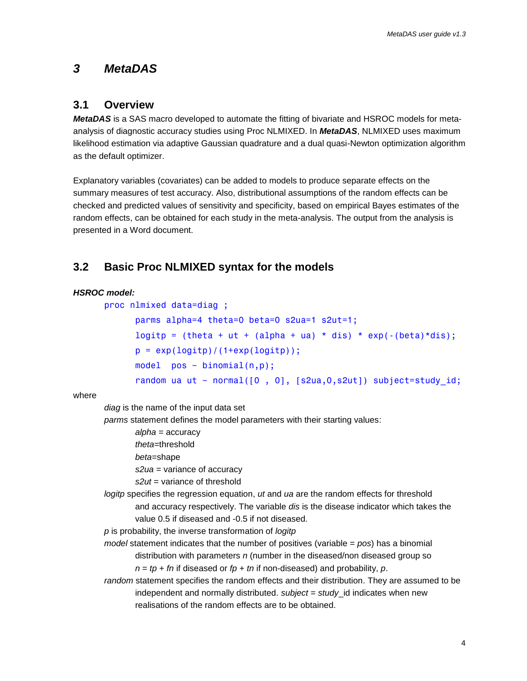# <span id="page-3-0"></span>*3 MetaDAS*

# <span id="page-3-1"></span>**3.1 Overview**

*MetaDAS* is a SAS macro developed to automate the fitting of bivariate and HSROC models for metaanalysis of diagnostic accuracy studies using Proc NLMIXED. In *MetaDAS*, NLMIXED uses maximum likelihood estimation via adaptive Gaussian quadrature and a dual quasi-Newton optimization algorithm as the default optimizer.

Explanatory variables (covariates) can be added to models to produce separate effects on the summary measures of test accuracy. Also, distributional assumptions of the random effects can be checked and predicted values of sensitivity and specificity, based on empirical Bayes estimates of the random effects, can be obtained for each study in the meta-analysis. The output from the analysis is presented in a Word document.

# <span id="page-3-2"></span>**3.2 Basic Proc NLMIXED syntax for the models**

#### *HSROC model:*

```
proc nlmixed data=diag ;
       parms alpha=4 theta=0 beta=0 s2ua=1 s2ut=1; 
      logitp = (theta + ut + (alpha + ua) * dis) * exp(-(\beta + \alpha));
      p = exp(logitp) / (1+exp(logitp));
      model pos ~ binomial(n,p);
      random ua ut ~ normal([0, 0], [s2ua, 0, s2ut]) subject=study id;
```
where

*diag* is the name of the input data set

*parms* statement defines the model parameters with their starting values:

*alpha* = accuracy

*theta*=threshold

*beta*=shape

*s2ua* = variance of accuracy

*s2ut* = variance of threshold

*logitp* specifies the regression equation, *ut* and *ua* are the random effects for threshold and accuracy respectively. The variable *dis* is the disease indicator which takes the value 0.5 if diseased and -0.5 if not diseased.

*p* is probability, the inverse transformation of *logitp*

*model* statement indicates that the number of positives (variable = *pos*) has a binomial distribution with parameters *n* (number in the diseased/non diseased group so *n* = *tp* + *fn* if diseased or *fp* + *tn* if non-diseased) and probability, *p*.

*random* statement specifies the random effects and their distribution. They are assumed to be independent and normally distributed. *subject* = *study*\_id indicates when new realisations of the random effects are to be obtained.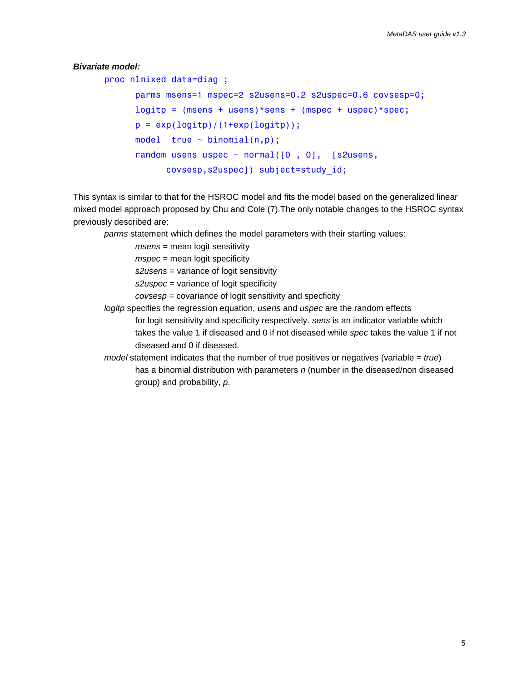#### *Bivariate model:*

proc nlmixed data=diag ;

```
 parms msens=1 mspec=2 s2usens=0.2 s2uspec=0.6 covsesp=0; 
logitp = (msens + usens)*sens + (mspec + uspec)*spec;p = exp(logitp) / (1+exp(logitp));
model true \sim binomial(n,p);
random usens uspec \sim normal([0, 0], [slusens]covsesp,s2uspec]) subject=study_id;
```
This syntax is similar to that for the HSROC model and fits the model based on the generalized linear mixed model approach proposed by Chu and Cole (7).The only notable changes to the HSROC syntax previously described are:

*parms* statement which defines the model parameters with their starting values:

*msens* = mean logit sensitivity

*mspec* = mean logit specificity

*s2usens* = variance of logit sensitivity

*s2uspec* = variance of logit specificity

*covsesp* = covariance of logit sensitivity and specficity

*logitp* specifies the regression equation, *usens* and *uspec* are the random effects

for logit sensitivity and specificity respectively. *sens* is an indicator variable which takes the value 1 if diseased and 0 if not diseased while *spec* takes the value 1 if not diseased and 0 if diseased.

<span id="page-4-0"></span>*model* statement indicates that the number of true positives or negatives (variable = *true*) has a binomial distribution with parameters *n* (number in the diseased/non diseased group) and probability, *p*.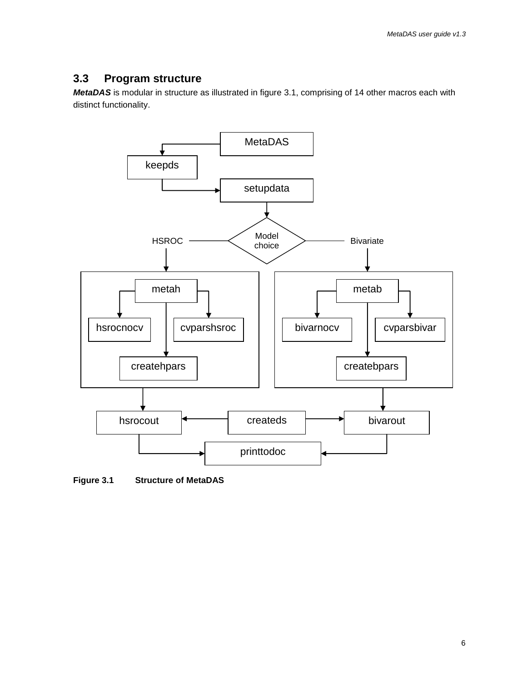# **3.3 Program structure**

*MetaDAS* is modular in structure as illustrated in figure 3.1, comprising of 14 other macros each with distinct functionality.



**Figure 3.1 Structure of MetaDAS**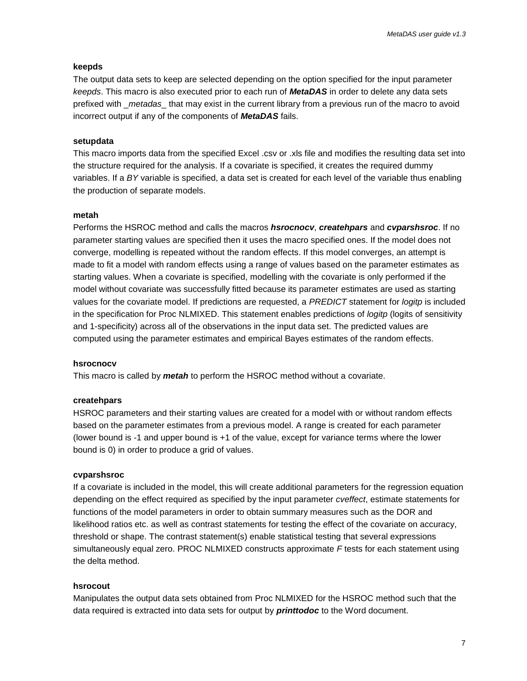#### **keepds**

The output data sets to keep are selected depending on the option specified for the input parameter *keepds*. This macro is also executed prior to each run of *MetaDAS* in order to delete any data sets prefixed with \_*metadas*\_ that may exist in the current library from a previous run of the macro to avoid incorrect output if any of the components of *MetaDAS* fails.

#### **setupdata**

This macro imports data from the specified Excel .csv or .xls file and modifies the resulting data set into the structure required for the analysis. If a covariate is specified, it creates the required dummy variables. If a *BY* variable is specified, a data set is created for each level of the variable thus enabling the production of separate models.

#### **metah**

Performs the HSROC method and calls the macros *hsrocnocv*, *createhpars* and *cvparshsroc*. If no parameter starting values are specified then it uses the macro specified ones. If the model does not converge, modelling is repeated without the random effects. If this model converges, an attempt is made to fit a model with random effects using a range of values based on the parameter estimates as starting values. When a covariate is specified, modelling with the covariate is only performed if the model without covariate was successfully fitted because its parameter estimates are used as starting values for the covariate model. If predictions are requested, a *PREDICT* statement for *logitp* is included in the specification for Proc NLMIXED. This statement enables predictions of *logitp* (logits of sensitivity and 1-specificity) across all of the observations in the input data set. The predicted values are computed using the parameter estimates and empirical Bayes estimates of the random effects.

#### **hsrocnocv**

This macro is called by *metah* to perform the HSROC method without a covariate.

#### **createhpars**

HSROC parameters and their starting values are created for a model with or without random effects based on the parameter estimates from a previous model. A range is created for each parameter (lower bound is -1 and upper bound is +1 of the value, except for variance terms where the lower bound is 0) in order to produce a grid of values.

#### **cvparshsroc**

If a covariate is included in the model, this will create additional parameters for the regression equation depending on the effect required as specified by the input parameter *cveffect*, estimate statements for functions of the model parameters in order to obtain summary measures such as the DOR and likelihood ratios etc. as well as contrast statements for testing the effect of the covariate on accuracy, threshold or shape. The contrast statement(s) enable statistical testing that several expressions simultaneously equal zero. PROC NLMIXED constructs approximate *F* tests for each statement using the delta method.

#### **hsrocout**

Manipulates the output data sets obtained from Proc NLMIXED for the HSROC method such that the data required is extracted into data sets for output by *printtodoc* to the Word document.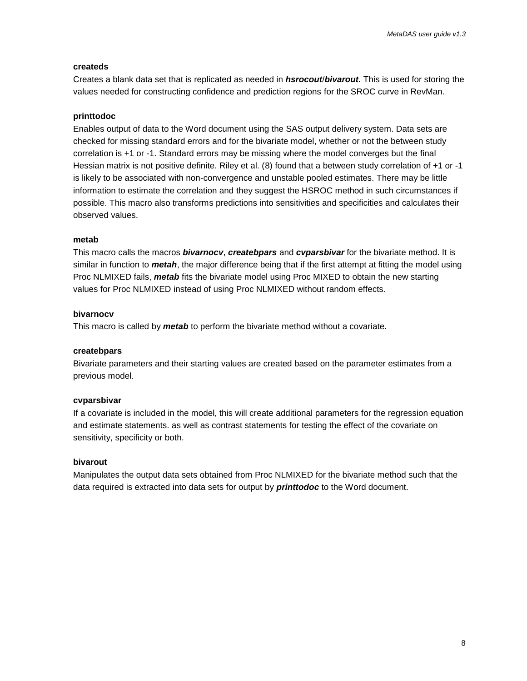#### **createds**

Creates a blank data set that is replicated as needed in *hsrocout*/*bivarout.* This is used for storing the values needed for constructing confidence and prediction regions for the SROC curve in RevMan.

#### **printtodoc**

Enables output of data to the Word document using the SAS output delivery system. Data sets are checked for missing standard errors and for the bivariate model, whether or not the between study correlation is +1 or -1. Standard errors may be missing where the model converges but the final Hessian matrix is not positive definite. Riley et al. (8) found that a between study correlation of +1 or -1 is likely to be associated with non-convergence and unstable pooled estimates. There may be little information to estimate the correlation and they suggest the HSROC method in such circumstances if possible. This macro also transforms predictions into sensitivities and specificities and calculates their observed values.

#### **metab**

This macro calls the macros *bivarnocv*, *createbpars* and *cvparsbivar* for the bivariate method. It is similar in function to *metah*, the major difference being that if the first attempt at fitting the model using Proc NLMIXED fails, *metab* fits the bivariate model using Proc MIXED to obtain the new starting values for Proc NLMIXED instead of using Proc NLMIXED without random effects.

#### **bivarnocv**

This macro is called by *metab* to perform the bivariate method without a covariate.

#### **createbpars**

Bivariate parameters and their starting values are created based on the parameter estimates from a previous model.

#### **cvparsbivar**

If a covariate is included in the model, this will create additional parameters for the regression equation and estimate statements. as well as contrast statements for testing the effect of the covariate on sensitivity, specificity or both.

#### **bivarout**

Manipulates the output data sets obtained from Proc NLMIXED for the bivariate method such that the data required is extracted into data sets for output by *printtodoc* to the Word document.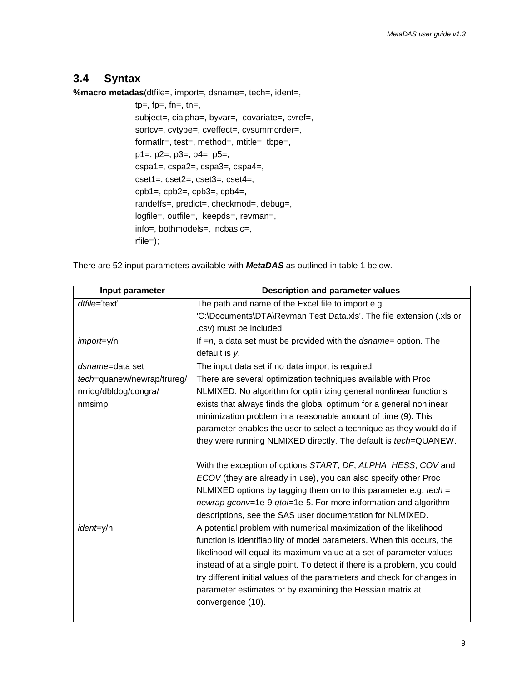# <span id="page-8-0"></span>**3.4 Syntax**

**%macro metadas**(dtfile=, import=, dsname=, tech=, ident=,

 $tp=$ ,  $fp=$ ,  $fn=$ ,  $tn=$ , subject=, cialpha=, byvar=, covariate=, cvref=, sortcv=, cvtype=, cveffect=, cvsummorder=, formatlr=, test=, method=, mtitle=, tbpe=, p1=, p2=, p3=, p4=, p5=, cspa1=, cspa2=, cspa3=, cspa4=, cset1=, cset2=, cset3=, cset4=,  $cpb1=$ ,  $cpb2=$ ,  $cpb3=$ ,  $cpb4=$ , randeffs=, predict=, checkmod=, debug=, logfile=, outfile=, keepds=, revman=, info=, bothmodels=, incbasic=, rfile=);

There are 52 input parameters available with *MetaDAS* as outlined in table 1 below.

| Input parameter            | <b>Description and parameter values</b>                                    |  |  |  |  |
|----------------------------|----------------------------------------------------------------------------|--|--|--|--|
| dtfile='text'              | The path and name of the Excel file to import e.g.                         |  |  |  |  |
|                            | 'C:\Documents\DTA\Revman Test Data.xls'. The file extension (.xls or       |  |  |  |  |
|                            | .csv) must be included.                                                    |  |  |  |  |
| import=y/n                 | If $=n$ , a data set must be provided with the <i>dsname</i> = option. The |  |  |  |  |
|                            | default is y.                                                              |  |  |  |  |
| dsname=data set            | The input data set if no data import is required.                          |  |  |  |  |
| tech=quanew/newrap/trureg/ | There are several optimization techniques available with Proc              |  |  |  |  |
| nrridg/dbldog/congra/      | NLMIXED. No algorithm for optimizing general nonlinear functions           |  |  |  |  |
| nmsimp                     | exists that always finds the global optimum for a general nonlinear        |  |  |  |  |
|                            | minimization problem in a reasonable amount of time (9). This              |  |  |  |  |
|                            | parameter enables the user to select a technique as they would do if       |  |  |  |  |
|                            | they were running NLMIXED directly. The default is tech=QUANEW.            |  |  |  |  |
|                            |                                                                            |  |  |  |  |
|                            | With the exception of options START, DF, ALPHA, HESS, COV and              |  |  |  |  |
|                            | ECOV (they are already in use), you can also specify other Proc            |  |  |  |  |
|                            | NLMIXED options by tagging them on to this parameter e.g. $tech =$         |  |  |  |  |
|                            | newrap gconv=1e-9 qtol=1e-5. For more information and algorithm            |  |  |  |  |
|                            | descriptions, see the SAS user documentation for NLMIXED.                  |  |  |  |  |
| ident=y/n                  | A potential problem with numerical maximization of the likelihood          |  |  |  |  |
|                            | function is identifiability of model parameters. When this occurs, the     |  |  |  |  |
|                            | likelihood will equal its maximum value at a set of parameter values       |  |  |  |  |
|                            | instead of at a single point. To detect if there is a problem, you could   |  |  |  |  |
|                            | try different initial values of the parameters and check for changes in    |  |  |  |  |
|                            | parameter estimates or by examining the Hessian matrix at                  |  |  |  |  |
|                            | convergence (10).                                                          |  |  |  |  |
|                            |                                                                            |  |  |  |  |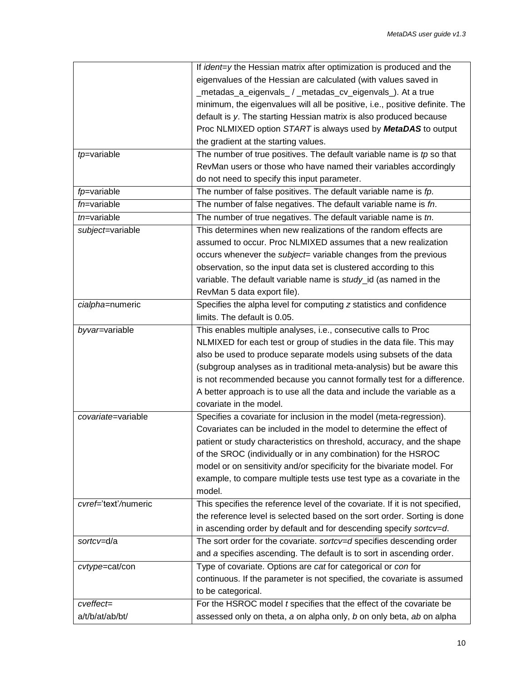|                      | If ident=y the Hessian matrix after optimization is produced and the         |  |  |
|----------------------|------------------------------------------------------------------------------|--|--|
|                      | eigenvalues of the Hessian are calculated (with values saved in              |  |  |
|                      | _metadas_a_eigenvals_/_metadas_cv_eigenvals_). At a true                     |  |  |
|                      | minimum, the eigenvalues will all be positive, i.e., positive definite. The  |  |  |
|                      | default is y. The starting Hessian matrix is also produced because           |  |  |
|                      | Proc NLMIXED option START is always used by MetaDAS to output                |  |  |
|                      | the gradient at the starting values.                                         |  |  |
| tp=variable          | The number of true positives. The default variable name is $tp$ so that      |  |  |
|                      | RevMan users or those who have named their variables accordingly             |  |  |
|                      | do not need to specify this input parameter.                                 |  |  |
| fp=variable          | The number of false positives. The default variable name is fp.              |  |  |
| $fn=$ variable       | The number of false negatives. The default variable name is fn.              |  |  |
| $tn$ =variable       | The number of true negatives. The default variable name is tn.               |  |  |
| subject=variable     | This determines when new realizations of the random effects are              |  |  |
|                      | assumed to occur. Proc NLMIXED assumes that a new realization                |  |  |
|                      | occurs whenever the <i>subject</i> = variable changes from the previous      |  |  |
|                      | observation, so the input data set is clustered according to this            |  |  |
|                      | variable. The default variable name is study_id (as named in the             |  |  |
|                      | RevMan 5 data export file).                                                  |  |  |
| cialpha=numeric      | Specifies the alpha level for computing z statistics and confidence          |  |  |
|                      | limits. The default is 0.05.                                                 |  |  |
|                      |                                                                              |  |  |
| byvar=variable       | This enables multiple analyses, i.e., consecutive calls to Proc              |  |  |
|                      | NLMIXED for each test or group of studies in the data file. This may         |  |  |
|                      | also be used to produce separate models using subsets of the data            |  |  |
|                      | (subgroup analyses as in traditional meta-analysis) but be aware this        |  |  |
|                      | is not recommended because you cannot formally test for a difference.        |  |  |
|                      | A better approach is to use all the data and include the variable as a       |  |  |
|                      | covariate in the model.                                                      |  |  |
| covariate=variable   | Specifies a covariate for inclusion in the model (meta-regression).          |  |  |
|                      | Covariates can be included in the model to determine the effect of           |  |  |
|                      | patient or study characteristics on threshold, accuracy, and the shape       |  |  |
|                      | of the SROC (individually or in any combination) for the HSROC               |  |  |
|                      | model or on sensitivity and/or specificity for the bivariate model. For      |  |  |
|                      | example, to compare multiple tests use test type as a covariate in the       |  |  |
|                      | model.                                                                       |  |  |
| cvref='text'/numeric | This specifies the reference level of the covariate. If it is not specified, |  |  |
|                      | the reference level is selected based on the sort order. Sorting is done     |  |  |
|                      | in ascending order by default and for descending specify sortcv=d.           |  |  |
| sortcv=d/a           | The sort order for the covariate. sortcv=d specifies descending order        |  |  |
|                      | and a specifies ascending. The default is to sort in ascending order.        |  |  |
| cvtype=cat/con       | Type of covariate. Options are cat for categorical or con for                |  |  |
|                      | continuous. If the parameter is not specified, the covariate is assumed      |  |  |
|                      | to be categorical.                                                           |  |  |
| cveffect=            | For the HSROC model <i>t</i> specifies that the effect of the covariate be   |  |  |
| a/t/b/at/ab/bt/      | assessed only on theta, a on alpha only, b on only beta, ab on alpha         |  |  |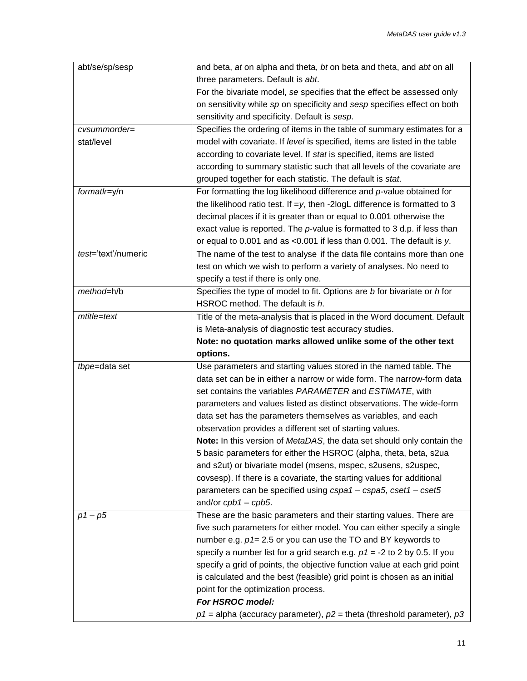| abt/se/sp/sesp      | and beta, at on alpha and theta, bt on beta and theta, and abt on all         |  |  |  |
|---------------------|-------------------------------------------------------------------------------|--|--|--|
|                     | three parameters. Default is abt.                                             |  |  |  |
|                     | For the bivariate model, se specifies that the effect be assessed only        |  |  |  |
|                     | on sensitivity while sp on specificity and sesp specifies effect on both      |  |  |  |
|                     | sensitivity and specificity. Default is sesp.                                 |  |  |  |
| cvsummorder=        | Specifies the ordering of items in the table of summary estimates for a       |  |  |  |
| stat/level          | model with covariate. If level is specified, items are listed in the table    |  |  |  |
|                     | according to covariate level. If stat is specified, items are listed          |  |  |  |
|                     | according to summary statistic such that all levels of the covariate are      |  |  |  |
|                     | grouped together for each statistic. The default is stat.                     |  |  |  |
| formatlr=y/n        | For formatting the log likelihood difference and $p$ -value obtained for      |  |  |  |
|                     | the likelihood ratio test. If $=y$ , then -2logL difference is formatted to 3 |  |  |  |
|                     | decimal places if it is greater than or equal to 0.001 otherwise the          |  |  |  |
|                     | exact value is reported. The $p$ -value is formatted to 3 d.p. if less than   |  |  |  |
|                     | or equal to 0.001 and as <0.001 if less than 0.001. The default is y.         |  |  |  |
| test='text'/numeric | The name of the test to analyse if the data file contains more than one       |  |  |  |
|                     | test on which we wish to perform a variety of analyses. No need to            |  |  |  |
|                     | specify a test if there is only one.                                          |  |  |  |
| method=h/b          | Specifies the type of model to fit. Options are b for bivariate or h for      |  |  |  |
|                     | HSROC method. The default is h.                                               |  |  |  |
| mtitle=text         | Title of the meta-analysis that is placed in the Word document. Default       |  |  |  |
|                     | is Meta-analysis of diagnostic test accuracy studies.                         |  |  |  |
|                     | Note: no quotation marks allowed unlike some of the other text                |  |  |  |
|                     |                                                                               |  |  |  |
|                     | options.                                                                      |  |  |  |
| tbpe=data set       | Use parameters and starting values stored in the named table. The             |  |  |  |
|                     | data set can be in either a narrow or wide form. The narrow-form data         |  |  |  |
|                     | set contains the variables PARAMETER and ESTIMATE, with                       |  |  |  |
|                     | parameters and values listed as distinct observations. The wide-form          |  |  |  |
|                     | data set has the parameters themselves as variables, and each                 |  |  |  |
|                     | observation provides a different set of starting values.                      |  |  |  |
|                     | Note: In this version of MetaDAS, the data set should only contain the        |  |  |  |
|                     | 5 basic parameters for either the HSROC (alpha, theta, beta, s2ua             |  |  |  |
|                     | and s2ut) or bivariate model (msens, mspec, s2usens, s2uspec,                 |  |  |  |
|                     | covsesp). If there is a covariate, the starting values for additional         |  |  |  |
|                     | parameters can be specified using cspa1 - cspa5, cset1 - cset5                |  |  |  |
|                     | and/or $cpb1 - cpb5$ .                                                        |  |  |  |
| $p1 - p5$           | These are the basic parameters and their starting values. There are           |  |  |  |
|                     | five such parameters for either model. You can either specify a single        |  |  |  |
|                     | number e.g. $p1 = 2.5$ or you can use the TO and BY keywords to               |  |  |  |
|                     | specify a number list for a grid search e.g. $p1 = -2$ to 2 by 0.5. If you    |  |  |  |
|                     | specify a grid of points, the objective function value at each grid point     |  |  |  |
|                     | is calculated and the best (feasible) grid point is chosen as an initial      |  |  |  |
|                     | point for the optimization process.                                           |  |  |  |
|                     | For HSROC model:                                                              |  |  |  |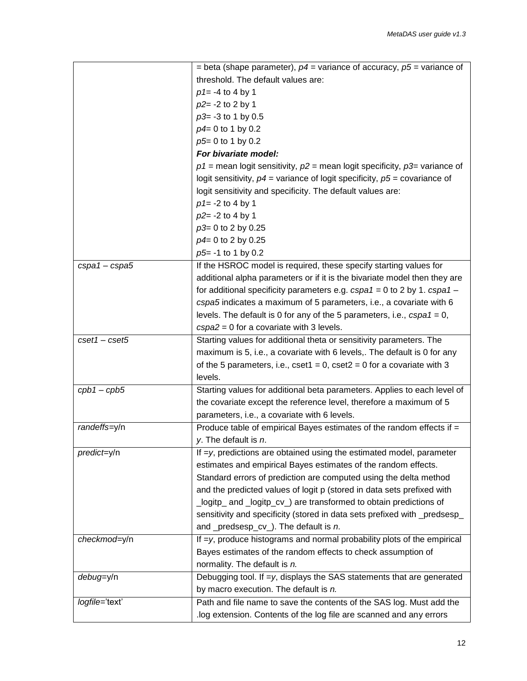|                 | = beta (shape parameter), $p4$ = variance of accuracy, $p5$ = variance of                 |  |  |
|-----------------|-------------------------------------------------------------------------------------------|--|--|
|                 | threshold. The default values are:                                                        |  |  |
|                 | $p1 = -4$ to 4 by 1                                                                       |  |  |
|                 | $p2 = -2$ to 2 by 1                                                                       |  |  |
|                 | $p3= -3$ to 1 by 0.5                                                                      |  |  |
|                 | $p4 = 0$ to 1 by 0.2                                                                      |  |  |
|                 | p5= 0 to 1 by 0.2                                                                         |  |  |
|                 | For bivariate model:                                                                      |  |  |
|                 | $p1$ = mean logit sensitivity, $p2$ = mean logit specificity, $p3$ = variance of          |  |  |
|                 | logit sensitivity, $p4$ = variance of logit specificity, $p5$ = covariance of             |  |  |
|                 | logit sensitivity and specificity. The default values are:                                |  |  |
|                 | $p1 = -2$ to 4 by 1                                                                       |  |  |
|                 | $p2 = -2$ to 4 by 1                                                                       |  |  |
|                 | p3= 0 to 2 by 0.25                                                                        |  |  |
|                 | p4= 0 to 2 by 0.25                                                                        |  |  |
|                 | $p5= -1$ to 1 by 0.2                                                                      |  |  |
| $cspa1 - cspa5$ | If the HSROC model is required, these specify starting values for                         |  |  |
|                 | additional alpha parameters or if it is the bivariate model then they are                 |  |  |
|                 | for additional specificity parameters e.g. $cspa1 = 0$ to 2 by 1. $cspa1 -$               |  |  |
|                 | cspa5 indicates a maximum of 5 parameters, i.e., a covariate with 6                       |  |  |
|                 | levels. The default is 0 for any of the 5 parameters, i.e., $cspa1 = 0$ ,                 |  |  |
|                 | $cspa2 = 0$ for a covariate with 3 levels.                                                |  |  |
| $cset1 - cset5$ | Starting values for additional theta or sensitivity parameters. The                       |  |  |
|                 | maximum is 5, i.e., a covariate with 6 levels,. The default is 0 for any                  |  |  |
|                 | of the 5 parameters, i.e., $\text{cset1} = 0$ , $\text{cset2} = 0$ for a covariate with 3 |  |  |
|                 | levels.                                                                                   |  |  |
| $cpb1 - cpb5$   | Starting values for additional beta parameters. Applies to each level of                  |  |  |
|                 | the covariate except the reference level, therefore a maximum of 5                        |  |  |
|                 | parameters, i.e., a covariate with 6 levels.                                              |  |  |
| randeffs=y/n    | Produce table of empirical Bayes estimates of the random effects if =                     |  |  |
|                 | y. The default is $n$ .                                                                   |  |  |
| predict=y/n     | If $=y$ , predictions are obtained using the estimated model, parameter                   |  |  |
|                 | estimates and empirical Bayes estimates of the random effects.                            |  |  |
|                 | Standard errors of prediction are computed using the delta method                         |  |  |
|                 | and the predicted values of logit p (stored in data sets prefixed with                    |  |  |
|                 | _logitp_ and _logitp_cv_) are transformed to obtain predictions of                        |  |  |
|                 | sensitivity and specificity (stored in data sets prefixed with _predsesp_                 |  |  |
|                 | and _predsesp_cv_). The default is n.                                                     |  |  |
| checkmod=y/n    | If $=y$ , produce histograms and normal probability plots of the empirical                |  |  |
|                 | Bayes estimates of the random effects to check assumption of                              |  |  |
|                 | normality. The default is n.                                                              |  |  |
| debug=y/n       | Debugging tool. If $=y$ , displays the SAS statements that are generated                  |  |  |
|                 | by macro execution. The default is n.                                                     |  |  |
| logfile='text'  | Path and file name to save the contents of the SAS log. Must add the                      |  |  |
|                 | log extension. Contents of the log file are scanned and any errors                        |  |  |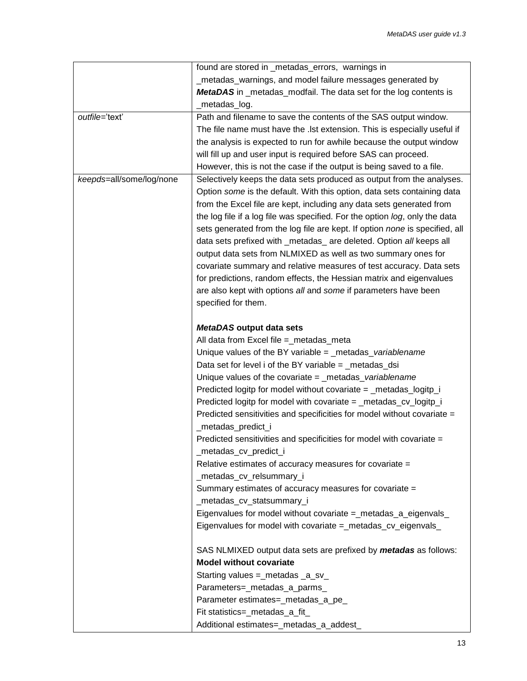|                          | found are stored in _metadas_errors, warnings in                            |  |  |
|--------------------------|-----------------------------------------------------------------------------|--|--|
|                          | _metadas_warnings, and model failure messages generated by                  |  |  |
|                          | MetaDAS in _metadas_modfail. The data set for the log contents is           |  |  |
|                          | _metadas_log.                                                               |  |  |
| outfile='text'           | Path and filename to save the contents of the SAS output window.            |  |  |
|                          | The file name must have the . Ist extension. This is especially useful if   |  |  |
|                          | the analysis is expected to run for awhile because the output window        |  |  |
|                          | will fill up and user input is required before SAS can proceed.             |  |  |
|                          | However, this is not the case if the output is being saved to a file.       |  |  |
| keepds=all/some/log/none | Selectively keeps the data sets produced as output from the analyses.       |  |  |
|                          | Option some is the default. With this option, data sets containing data     |  |  |
|                          | from the Excel file are kept, including any data sets generated from        |  |  |
|                          | the log file if a log file was specified. For the option log, only the data |  |  |
|                          | sets generated from the log file are kept. If option none is specified, all |  |  |
|                          | data sets prefixed with _metadas_ are deleted. Option all keeps all         |  |  |
|                          | output data sets from NLMIXED as well as two summary ones for               |  |  |
|                          | covariate summary and relative measures of test accuracy. Data sets         |  |  |
|                          | for predictions, random effects, the Hessian matrix and eigenvalues         |  |  |
|                          | are also kept with options all and some if parameters have been             |  |  |
|                          | specified for them.                                                         |  |  |
|                          |                                                                             |  |  |
|                          | MetaDAS output data sets                                                    |  |  |
|                          | All data from Excel file =_metadas_meta                                     |  |  |
|                          | Unique values of the BY variable $=$ metadas variablename                   |  |  |
|                          | Data set for level i of the BY variable = $\_$ metadas $\_$ dsi             |  |  |
|                          | Unique values of the covariate $=$ _metadas_variablename                    |  |  |
|                          | Predicted logitp for model without covariate = _metadas_logitp_i            |  |  |
|                          | Predicted logitp for model with covariate = _metadas_cv_logitp_i            |  |  |
|                          | Predicted sensitivities and specificities for model without covariate =     |  |  |
|                          | _metadas_predict_i                                                          |  |  |
|                          | Predicted sensitivities and specificities for model with covariate =        |  |  |
|                          | _metadas_cv_predict_i                                                       |  |  |
|                          | Relative estimates of accuracy measures for covariate =                     |  |  |
|                          | _metadas_cv_relsummary_i                                                    |  |  |
|                          | Summary estimates of accuracy measures for covariate =                      |  |  |
|                          | _metadas_cv_statsummary_i                                                   |  |  |
|                          | Eigenvalues for model without covariate = metadas_a_eigenvals               |  |  |
|                          | Eigenvalues for model with covariate =_metadas_cv_eigenvals_                |  |  |
|                          |                                                                             |  |  |
|                          | SAS NLMIXED output data sets are prefixed by metadas as follows:            |  |  |
|                          | <b>Model without covariate</b>                                              |  |  |
|                          | Starting values =_metadas _a_sv_                                            |  |  |
|                          | Parameters=_metadas_a_parms_                                                |  |  |
|                          | Parameter estimates=_metadas_a_pe_                                          |  |  |
|                          | Fit statistics=_metadas_a_fit_                                              |  |  |
|                          |                                                                             |  |  |
|                          | Additional estimates=_metadas_a_addest_                                     |  |  |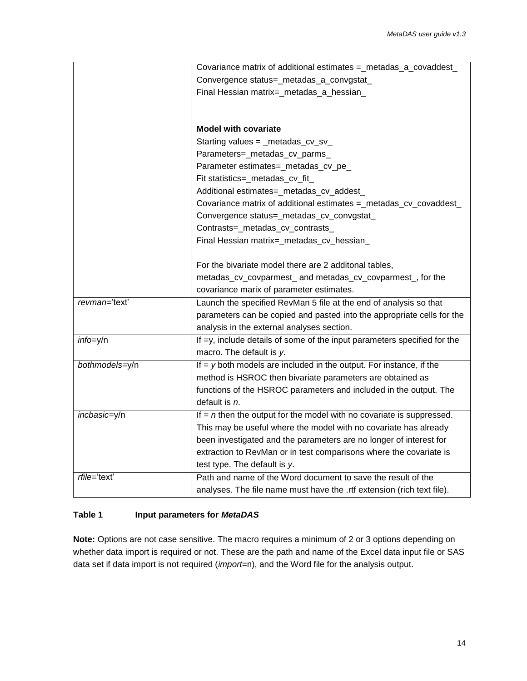|                | Covariance matrix of additional estimates =_metadas_a_covaddest_         |  |  |  |  |
|----------------|--------------------------------------------------------------------------|--|--|--|--|
|                | Convergence status=_metadas_a_convgstat_                                 |  |  |  |  |
|                | Final Hessian matrix=_metadas_a_hessian_                                 |  |  |  |  |
|                |                                                                          |  |  |  |  |
|                |                                                                          |  |  |  |  |
|                | <b>Model with covariate</b>                                              |  |  |  |  |
|                | Starting values = _metadas_cv_sv_                                        |  |  |  |  |
|                | Parameters=_metadas_cv_parms_                                            |  |  |  |  |
|                | Parameter estimates=_metadas_cv_pe_                                      |  |  |  |  |
|                | Fit statistics=_metadas_cv_fit_                                          |  |  |  |  |
|                | Additional estimates=_metadas_cv_addest_                                 |  |  |  |  |
|                | Covariance matrix of additional estimates = metadas_cv_covaddest_        |  |  |  |  |
|                | Convergence status=_metadas_cv_convgstat_                                |  |  |  |  |
|                | Contrasts=_metadas_cv_contrasts_                                         |  |  |  |  |
|                | Final Hessian matrix=_metadas_cv_hessian_                                |  |  |  |  |
|                |                                                                          |  |  |  |  |
|                | For the bivariate model there are 2 additonal tables,                    |  |  |  |  |
|                | metadas_cv_covparmest_ and metadas_cv_covparmest_, for the               |  |  |  |  |
|                | covariance marix of parameter estimates.                                 |  |  |  |  |
| revman='text'  | Launch the specified RevMan 5 file at the end of analysis so that        |  |  |  |  |
|                | parameters can be copied and pasted into the appropriate cells for the   |  |  |  |  |
|                | analysis in the external analyses section.                               |  |  |  |  |
| $info=y/n$     | If =y, include details of some of the input parameters specified for the |  |  |  |  |
|                | macro. The default is y.                                                 |  |  |  |  |
| bothmodels=y/n | If $=$ y both models are included in the output. For instance, if the    |  |  |  |  |
|                | method is HSROC then bivariate parameters are obtained as                |  |  |  |  |
|                | functions of the HSROC parameters and included in the output. The        |  |  |  |  |
|                | default is $n$ .                                                         |  |  |  |  |
| incbasic=y/n   | If $=$ n then the output for the model with no covariate is suppressed.  |  |  |  |  |
|                | This may be useful where the model with no covariate has already         |  |  |  |  |
|                | been investigated and the parameters are no longer of interest for       |  |  |  |  |
|                | extraction to RevMan or in test comparisons where the covariate is       |  |  |  |  |
|                | test type. The default is y.                                             |  |  |  |  |
| rfile='text'   | Path and name of the Word document to save the result of the             |  |  |  |  |
|                | analyses. The file name must have the .rtf extension (rich text file).   |  |  |  |  |

### **Table 1 Input parameters for** *MetaDAS*

<span id="page-13-0"></span>**Note:** Options are not case sensitive. The macro requires a minimum of 2 or 3 options depending on whether data import is required or not. These are the path and name of the Excel data input file or SAS data set if data import is not required (*import*=n), and the Word file for the analysis output.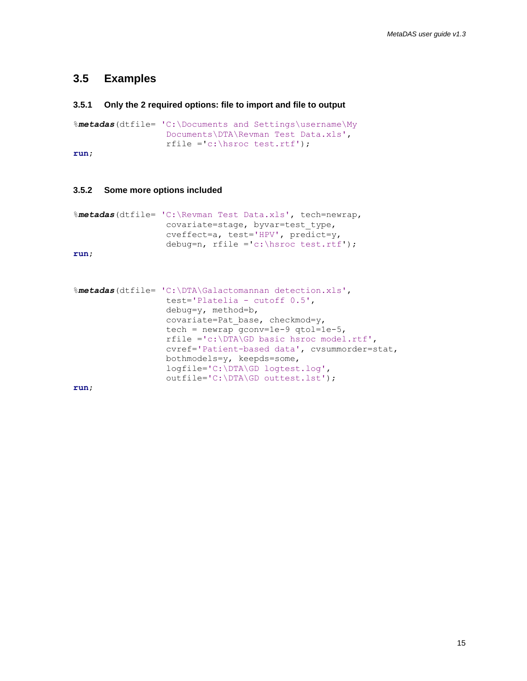## **3.5 Examples**

#### **3.5.1 Only the 2 required options: file to import and file to output**

```
%metadas(dtfile= 'C:\Documents and Settings\username\My 
                 Documents\DTA\Revman Test Data.xls', 
                  rfile ='c:\hsroc test.rtf');
```
**run**;

#### **3.5.2 Some more options included**

```
%metadas(dtfile= 'C:\Revman Test Data.xls', tech=newrap,
                  covariate=stage, byvar=test_type, 
                  cveffect=a, test='HPV', predict=y, 
                  debug=n, rfile ='c:\hsroc test.rtf');
```
**run**;

```
%metadas(dtfile= 'C:\DTA\Galactomannan detection.xls', 
                  test='Platelia - cutoff 0.5', 
                  debug=y, method=b, 
                  covariate=Pat base, checkmod=y,
                  tech = newrap qconv=1e-9 qtol=1e-5,
                  rfile ='c:\DTA\GD basic hsroc model.rtf', 
                  cvref='Patient-based data', cvsummorder=stat, 
                  bothmodels=y, keepds=some, 
                  logfile='C:\DTA\GD logtest.log', 
                  outfile='C:\DTA\GD outtest.lst');
```
**run**;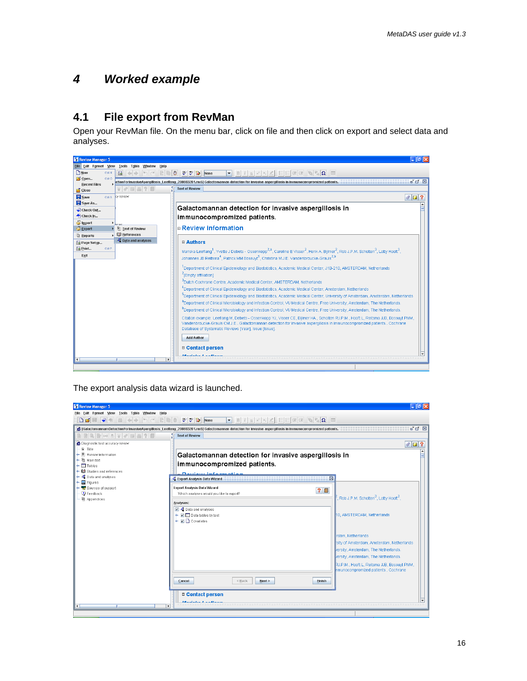# <span id="page-15-0"></span>*4 Worked example*

# <span id="page-15-1"></span>**4.1 File export from RevMan**

Open your RevMan file. On the menu bar, click on file and then click on export and select data and analyses.



The export analysis data wizard is launched.

| Review Manager 5                                                    |                                                                                                                                                                                          | - 10 X                                                   |  |  |
|---------------------------------------------------------------------|------------------------------------------------------------------------------------------------------------------------------------------------------------------------------------------|----------------------------------------------------------|--|--|
| Eile Edit Format View Tools Table Window Help                       |                                                                                                                                                                                          |                                                          |  |  |
| <b>DBEQ+</b><br>$\Box$                                              | $+$ $\rightarrow$ $\sim$ $\approx$ $\approx$ $\approx$ $\approx$ $\approx$ $\approx$ $\sim$<br>$2$ beef to $\Omega$ $\blacksquare$<br>$\blacksquare$ B i<br>$\mathbbm{H}$<br>$x^2$ $x_2$ |                                                          |  |  |
|                                                                     | G [GalactomannamDetectionForInvasiveApergillosis_Leeflang_200803201.rm5] Galactomannan detection for invasive aspergillosis in immunocompromized patients.                               | $\mathbf{u}^{\prime}$ $\mathbf{u}^{\prime}$ $\mathbf{v}$ |  |  |
| $\blacksquare$                                                      | <b>Text of Review</b>                                                                                                                                                                    |                                                          |  |  |
| O Diagnostic test accuracy review                                   |                                                                                                                                                                                          | $\theta$ $\Box$ ?                                        |  |  |
| 图 Title                                                             |                                                                                                                                                                                          |                                                          |  |  |
| $\leftarrow$ $\mathbb{Z}$ Review information<br>← (l) Main text     |                                                                                                                                                                                          | Galactomannan detection for invasive aspergillosis in    |  |  |
| $\leftarrow \Box$ Tables                                            | immunocompromized patients.                                                                                                                                                              |                                                          |  |  |
| <b>ID</b> Studies and references                                    | Davisni information                                                                                                                                                                      |                                                          |  |  |
| • 광 Data and analyses<br>$\leftarrow \overline{\mathbf{a}}$ Figures | Export Analysis Data Wizard                                                                                                                                                              | 区                                                        |  |  |
| → <a>Sources of support</a>                                         | Export Analysis Data Wizard<br>20                                                                                                                                                        |                                                          |  |  |
| <b>D</b> Feedback                                                   | Which analyses would you like to export?                                                                                                                                                 | , Rob J.P.M. Scholten $^3$ , Lotty Hooft $^3$ ,          |  |  |
| <b>D</b> Appendices                                                 | Analyses:                                                                                                                                                                                |                                                          |  |  |
|                                                                     | ☑ - Data and analyses                                                                                                                                                                    |                                                          |  |  |
|                                                                     | I Data tables by test<br>$\triangleright$ $\blacksquare$ Covariates                                                                                                                      | 10. AMSTERDAM, Netherlands                               |  |  |
|                                                                     |                                                                                                                                                                                          |                                                          |  |  |
|                                                                     |                                                                                                                                                                                          | rdam, Netherlands                                        |  |  |
|                                                                     |                                                                                                                                                                                          | sity of Amsterdam, Amsterdam, Netherlands                |  |  |
|                                                                     |                                                                                                                                                                                          | versity, Amsterdam, The Netherlands.                     |  |  |
|                                                                     |                                                                                                                                                                                          | versity, Amsterdam, The Netherlands.                     |  |  |
|                                                                     |                                                                                                                                                                                          | RJ.P.M., Hooft L. Reitsma JJB, Bossuyt PMM,              |  |  |
|                                                                     |                                                                                                                                                                                          | nmunocompromized patients Cochrane                       |  |  |
|                                                                     |                                                                                                                                                                                          |                                                          |  |  |
|                                                                     | <back<br>Cancel<br/>Next<br/><b>Einish</b></back<br>                                                                                                                                     |                                                          |  |  |
|                                                                     | □ Contact person                                                                                                                                                                         |                                                          |  |  |
|                                                                     | $M = -1 - 1 - 1$                                                                                                                                                                         |                                                          |  |  |
| $\left  \right $                                                    | $\blacktriangleright$                                                                                                                                                                    |                                                          |  |  |
|                                                                     |                                                                                                                                                                                          |                                                          |  |  |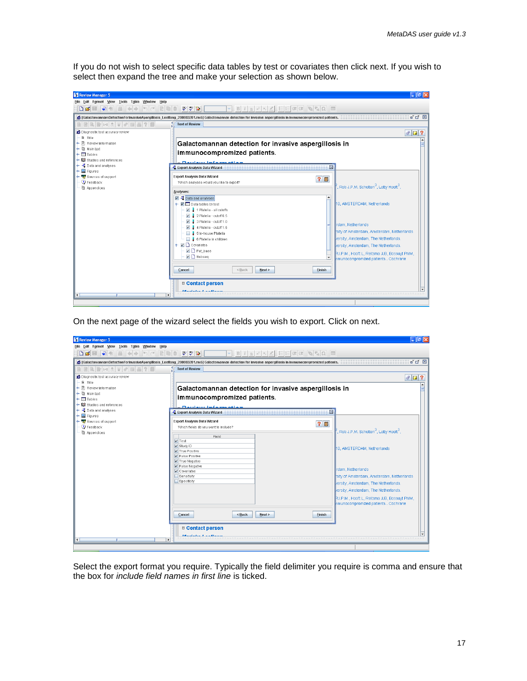If you do not wish to select specific data tables by test or covariates then click next. If you wish to select then expand the tree and make your selection as shown below.



On the next page of the wizard select the fields you wish to export. Click on next.

| Review Manager 5<br>Eile Edit Format View Tools Table<br>Window<br>$\overline{\bullet}$<br>DØH<br>$\left \left\langle \cdot\right  \right \right\rangle$<br><b>BBB+2 ATTH70</b>                               | Help<br>$V$ $\sim$ $\sim$<br>B<br>u<br>6 [GalactomannamDetectionForInvasiveApergillosis_Leeflang_200803201.rm5] Galactomannan detection for invasive aspergillosis in immunocompromized patients.<br><b>Text of Review</b>                           | a Filipi Ix<br>FF Q & Q III<br>旧旧<br>$\mathbf{u}^{\mathbf{c}}$ $\mathbf{u}^{\mathbf{c}}$ $\mathbf{v}$                                                                                                                                                                                                                      |  |
|---------------------------------------------------------------------------------------------------------------------------------------------------------------------------------------------------------------|------------------------------------------------------------------------------------------------------------------------------------------------------------------------------------------------------------------------------------------------------|----------------------------------------------------------------------------------------------------------------------------------------------------------------------------------------------------------------------------------------------------------------------------------------------------------------------------|--|
| O Diagnostic test accuracy review<br>图 Title<br>$\leftarrow$ $\mathbb{E}$ Review information<br>← (li) Main text<br>$\leftarrow \Box$ Tables<br><b>b</b> - 00 Studies and references<br>→ 过 Data and analyses | $\circ$ 0 ?<br>Galactomannan detection for invasive aspergillosis in<br>immunocompromized patients.<br>Danian information<br>図<br>- Export Analysis Data Wizard                                                                                      |                                                                                                                                                                                                                                                                                                                            |  |
| <b>A</b> Figures<br>۰<br>→ <a>Sources of support<br/><math>\mathbf{\odot}</math> Feedback<br/><b>D</b> Appendices</a>                                                                                         | Export Analysis Data Wizard<br>Which fields do you want to include?<br>Field<br>$V$ Test<br>$V$ Study ID<br>True Positive<br>False Positive<br>$V$ True Negative<br>$\blacktriangleright$ False Negative<br>Covariates<br>Sensitivity<br>Specificity | 20<br>, Rob J.P.M. Scholten $^3$ , Lotty Hooft $^3$ ,<br>10, AMSTERDAM, Netherlands<br>rdam, Netherlands<br>sity of Amsterdam, Amsterdam, Netherlands<br>versity, Amsterdam, The Netherlands.<br>versity, Amsterdam, The Netherlands.<br>RJ.P.M., Hooft L, Reitsma JJB, Bossuyt PMM,<br>nmunocompromized patients Cochrane |  |
| $\blacktriangleleft$                                                                                                                                                                                          | <back<br>Cancel<br/>Next<br/>□ Contact person<br/><b><i><u>Administration Conditions</u></i></b><br/><math>\mathbf{r}</math></back<br>                                                                                                               | <b>Finish</b>                                                                                                                                                                                                                                                                                                              |  |

Select the export format you require. Typically the field delimiter you require is comma and ensure that the box for *include field names in first line* is ticked.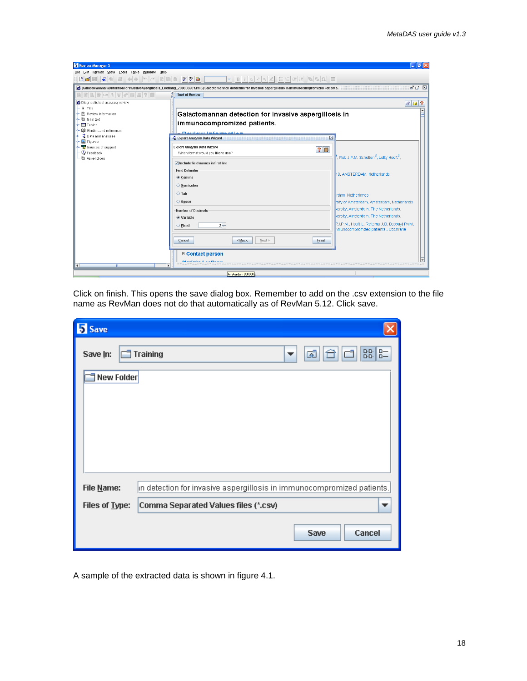| Review Manager 5                                                                                                           |                                                                                                                                                                                                                                                     | $-1$                                                                                                   |  |
|----------------------------------------------------------------------------------------------------------------------------|-----------------------------------------------------------------------------------------------------------------------------------------------------------------------------------------------------------------------------------------------------|--------------------------------------------------------------------------------------------------------|--|
| Eile Edit Format View Tools Table<br>Window Help<br>$\overline{P}$<br>$\leftarrow$ $\rightarrow$<br>$n \leq$               | 建建                                                                                                                                                                                                                                                  |                                                                                                        |  |
| $\Box$ $\beta$                                                                                                             | 罗罗鲁<br>$\circledcirc \circledcirc \circledcirc \circledcirc$<br>三日目<br>B <sub>1</sub><br>6 [GalactomannamDetectionForInvasiveApergillosis_Leeflang_200803201.rm5] Galactomannan detection for invasive aspergillosis in immunocompromized patients. | 『只図                                                                                                    |  |
| BBBB+2 A F + B B ? D                                                                                                       | <b>Text of Review</b>                                                                                                                                                                                                                               |                                                                                                        |  |
| O Diagnostic test accuracy review                                                                                          |                                                                                                                                                                                                                                                     | $\theta$ $\theta$                                                                                      |  |
| 图 Title<br>허리<br>Review information<br>← h Main text<br>$\sim$ $\blacksquare$ Tables<br><b>• 02</b> Studies and references | Galactomannan detection for invasive aspergillosis in<br>immunocompromized patients.<br>Davisno information                                                                                                                                         |                                                                                                        |  |
| • 북 Data and analyses<br>$\sim$ $\approx$ Figures                                                                          | - Export Analysis Data Wizard                                                                                                                                                                                                                       | ×                                                                                                      |  |
| Sources of support<br>P Feedback<br><sup>图</sup> Appendices                                                                | Export Analysis Data Wizard<br>20<br>Which format would you like to use?<br>$\triangleright$ Include field names in first line                                                                                                                      | , Rob J.P.M. Scholten $^3$ , Lotty Hooft $^3$ ,                                                        |  |
|                                                                                                                            | <b>Field Delimiter</b><br>$\bullet$ Comma                                                                                                                                                                                                           | 10. AMSTERDAM, Netherlands                                                                             |  |
|                                                                                                                            | Semicolon<br>$\bigcirc$ Tab<br>$\bigcirc$ Space                                                                                                                                                                                                     | rdam, Netherlands<br>sity of Amsterdam, Amsterdam, Netherlands<br>versity, Amsterdam, The Netherlands. |  |
|                                                                                                                            | Number of Decimals<br>● Variable                                                                                                                                                                                                                    | versity, Amsterdam, The Netherlands.                                                                   |  |
|                                                                                                                            | $2 -$<br>○ Fixed                                                                                                                                                                                                                                    | RJ.P.M., Hooft L, Reitsma JJB, Bossuyt PMM,<br>nmunocompromized patients Cochrane                      |  |
|                                                                                                                            | <back<br>Cancel<br/>Next<br/><b>Finish</b></back<br>                                                                                                                                                                                                |                                                                                                        |  |
| ٠                                                                                                                          | □ Contact person<br><b>District Latin Latin</b><br>$\ddot{\phantom{1}}$                                                                                                                                                                             |                                                                                                        |  |
|                                                                                                                            | Amsterdam 200608                                                                                                                                                                                                                                    |                                                                                                        |  |

Click on finish. This opens the save dialog box. Remember to add on the .csv extension to the file name as RevMan does not do that automatically as of RevMan 5.12. Click save.

| <b>S</b> Save  |                                                                        |
|----------------|------------------------------------------------------------------------|
| Save In:       | 88 8-<br>$\Box$ Training<br>Œ<br>▼                                     |
| New Folder     |                                                                        |
|                |                                                                        |
|                |                                                                        |
|                |                                                                        |
|                |                                                                        |
| File Name:     | in detection for invasive aspergillosis in immunocompromized patients. |
| Files of Lype: | Comma Separated Values files (*.csv)                                   |
|                | Cancel<br>Save                                                         |

A sample of the extracted data is shown in figure 4.1.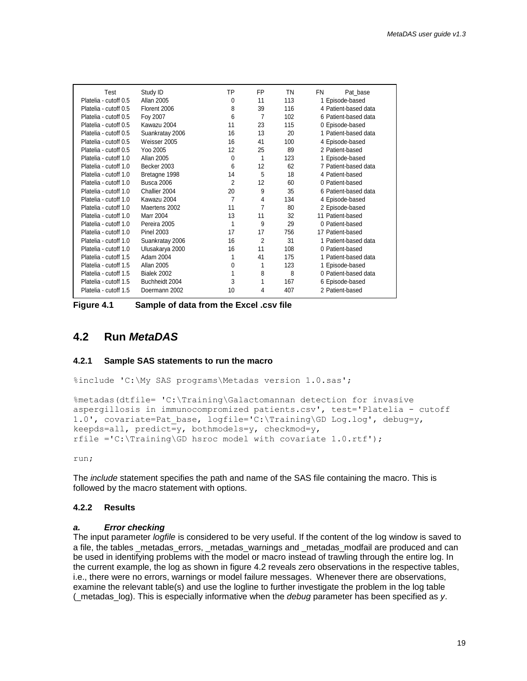| Test                  | Study ID          | ТP             | FP             | ΤN  | FN<br>Pat base       |
|-----------------------|-------------------|----------------|----------------|-----|----------------------|
| Platelia - cutoff 0.5 | Allan 2005        | $\Omega$       | 11             | 113 | 1 Episode-based      |
| Platelia - cutoff 0.5 | Florent 2006      | 8              | 39             | 116 | 4 Patient-based data |
| Platelia - cutoff 0.5 | Foy 2007          | 6              | $\overline{7}$ | 102 | 6 Patient-based data |
| Platelia - cutoff 0.5 | Kawazu 2004       | 11             | 23             | 115 | 0 Episode-based      |
| Platelia - cutoff 0.5 | Suankratay 2006   | 16             | 13             | 20  | 1 Patient-based data |
| Platelia - cutoff 0.5 | Weisser 2005      | 16             | 41             | 100 | 4 Episode-based      |
| Platelia - cutoff 0.5 | Yoo 2005          | 12             | 25             | 89  | 2 Patient-based      |
| Platelia - cutoff 1.0 | Allan 2005        | $\Omega$       | 1              | 123 | 1 Episode-based      |
| Platelia - cutoff 1.0 | Becker 2003       | 6              | 12             | 62  | 7 Patient-based data |
| Platelia - cutoff 1.0 | Bretagne 1998     | 14             | 5              | 18  | 4 Patient-based      |
| Platelia - cutoff 1.0 | <b>Busca 2006</b> | $\overline{2}$ | 12             | 60  | 0 Patient-based      |
| Platelia - cutoff 1.0 | Challier 2004     | 20             | 9              | 35  | 6 Patient-based data |
| Platelia - cutoff 1.0 | Kawazu 2004       | $\overline{7}$ | 4              | 134 | 4 Episode-based      |
| Platelia - cutoff 1.0 | Maertens 2002     | 11             | 7              | 80  | 2 Episode-based      |
| Platelia - cutoff 1.0 | <b>Marr 2004</b>  | 13             | 11             | 32  | 11 Patient-based     |
| Platelia - cutoff 1.0 | Pereira 2005      | 1              | 9              | 29  | 0 Patient-based      |
| Platelia - cutoff 1.0 | <b>Pinel 2003</b> | 17             | 17             | 756 | 17 Patient-based     |
| Platelia - cutoff 1.0 | Suankratay 2006   | 16             | 2              | 31  | 1 Patient-based data |
| Platelia - cutoff 1.0 | Ulusakarya 2000   | 16             | 11             | 108 | 0 Patient-based      |
| Platelia - cutoff 1.5 | Adam 2004         |                | 41             | 175 | 1 Patient-based data |
| Platelia - cutoff 1.5 | Allan 2005        | $\Omega$       | 1              | 123 | 1 Episode-based      |
| Platelia - cutoff 1.5 | Bialek 2002       |                | 8              | 8   | 0 Patient-based data |
| Platelia - cutoff 1.5 | Buchheidt 2004    | 3              | 1              | 167 | 6 Episode-based      |
| Platelia - cutoff 1.5 | Doermann 2002     | 10             | 4              | 407 | 2 Patient-based      |
|                       |                   |                |                |     |                      |

**Figure 4.1 Sample of data from the Excel .csv file**

# <span id="page-18-0"></span>**4.2 Run** *MetaDAS*

#### **4.2.1 Sample SAS statements to run the macro**

%include 'C:\My SAS programs\Metadas version 1.0.sas';

```
%metadas(dtfile= 'C:\Training\Galactomannan detection for invasive 
aspergillosis in immunocompromized patients.csv', test='Platelia - cutoff 
1.0', covariate=Pat_base, logfile='C:\Training\GD Log.log', debug=y, 
keepds=all, predict=y, bothmodels=y, checkmod=y,
rfile ='C:\Training\GD hsroc model with covariate 1.0.rtf';
```
run;

The *include* statement specifies the path and name of the SAS file containing the macro. This is followed by the macro statement with options.

#### **4.2.2 Results**

#### *a. Error checking*

The input parameter *logfile* is considered to be very useful. If the content of the log window is saved to a file, the tables metadas errors, metadas warnings and metadas modfail are produced and can be used in identifying problems with the model or macro instead of trawling through the entire log. In the current example, the log as shown in figure 4.2 reveals zero observations in the respective tables, i.e., there were no errors, warnings or model failure messages. Whenever there are observations, examine the relevant table(s) and use the logline to further investigate the problem in the log table (\_metadas\_log). This is especially informative when the *debug* parameter has been specified as *y*.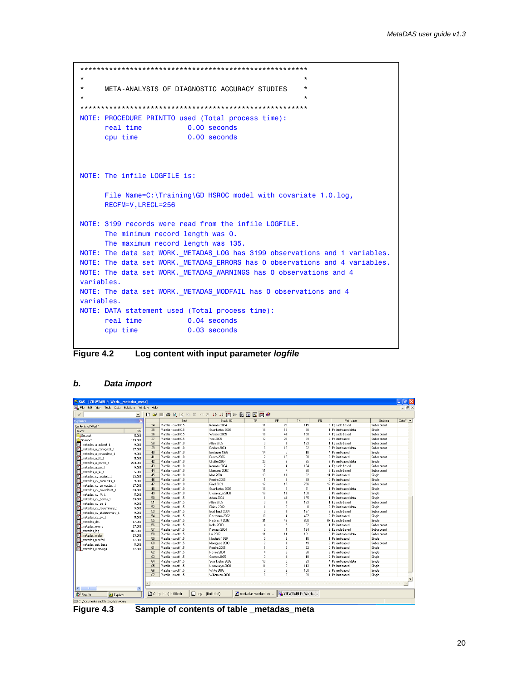```
*******************************************************
\star *
* META-ANALYSIS OF DIAGNOSTIC ACCURACY STUDIES *
\star *
*******************************************************
NOTE: PROCEDURE PRINTTO used (Total process time):
     real time 0.00 seconds
      cpu time 0.00 seconds
NOTE: The infile LOGFILE is:
      File Name=C:\Training\GD HSROC model with covariate 1.0.log,
      RECFM=V,LRECL=256
NOTE: 3199 records were read from the infile LOGFILE.
      The minimum record length was 0.
      The maximum record length was 135.
NOTE: The data set WORK. METADAS LOG has 3199 observations and 1 variables.
NOTE: The data set WORK. METADAS ERRORS has 0 observations and 4 variables.
NOTE: The data set WORK. METADAS WARNINGS has 0 observations and 4
variables.
NOTE: The data set WORK. METADAS MODFAIL has 0 observations and 4
variables.
NOTE: DATA statement used (Total process time):
     real time 0.04 seconds
      cpu time 0.03 seconds
```
**Figure 4.2 Log content with input parameter** *logfile*

| S SAS - IVIEWTABLE: Work. metadas metal |                                                                             |                          |                        |                            |                                                      |                  |                |    |                      |            | $\Box$ $\Box$ $\times$ |
|-----------------------------------------|-----------------------------------------------------------------------------|--------------------------|------------------------|----------------------------|------------------------------------------------------|------------------|----------------|----|----------------------|------------|------------------------|
|                                         | File Edit View Tools Data Solutions Window Help<br>$ \overline{m}$ $\times$ |                          |                        |                            |                                                      |                  |                |    |                      |            |                        |
| $\checkmark$                            | $\vert \cdot \vert$                                                         | $\Gamma$<br>$\mathbf{B}$ |                        | ● B R 电 E p X 培 指同 B 指同网网● |                                                      |                  |                |    |                      |            |                        |
| Explorer                                | $\overline{\mathbf{x}}$                                                     |                          | Test                   | Study ID                   | TP                                                   | FP               | <b>TN</b>      | FN | Pat_base             | Subseq     | Cutoff $\rightarrow$   |
| Contents of 'Work'                      |                                                                             | 34                       | Platelia - cutoff 0.5  | Kawazu 2004                | 11                                                   | 23               | 115            |    | 0 Episode-based      | Subsequent |                        |
| Name                                    | Size                                                                        | 35                       | Platelia - cutoff 0.5  | Suankratav 2006            | 16                                                   | 13               | $\mathfrak{A}$ |    | 1 Patient-based data | Single     |                        |
| Sasgopt                                 | 5.0KE                                                                       | 36                       | Platelia - cutoff 0.5  | Weisser 2005               | 16                                                   | 41               | 100            |    | 4 Episode-based      | Subsequent |                        |
| Sasmacr                                 | 173.0KE                                                                     | 37                       | Platelia - cutoff 0.5  | Yoo 2005                   | 12                                                   | 25               | 89             |    | 2 Patient-based      | Subsequent |                        |
| metadas a addest 1                      | 9.0KE                                                                       | 38                       | Platelia - cutoff 1 ft | Allan 2005                 | $\theta$                                             | $\mathbf{1}$     | 123            |    | 1 Episode-based      | Subsequent |                        |
| metadas a convostat 1                   | 17.0KE                                                                      | 39                       | Platelia - cutoff 1.0  | Becker 2003                | $\epsilon$                                           | 12               | 62             |    | 7 Patient-based data | Subsequent |                        |
| metadas a covaddest 1                   | 9.0KE                                                                       | 40 <sub>1</sub>          | Platelia - cutoff 1.0  | Bretagne 1998              | 14                                                   | 5 <sub>1</sub>   | 18             |    | 4 Patient-hased      | Single     |                        |
| metadas a fit 1                         | 5.0KE                                                                       | 41                       | Platelia - cutoff 1.0  | Busca 2006                 | $\overline{2}$                                       | 12               | 60             |    | 0 Patient-hased      | Subsequent |                        |
| metadas a parms 1                       | 273.0KE                                                                     | 42                       | Platelia - cutoff 1.0  | Challier 2004              | 20                                                   | $\overline{S}$   | 35             |    | 6 Patient-based data | Single     |                        |
| metadas a pe 1                          | 9.0KE                                                                       | 43                       | Platelia - cutoff 1.0  | Kawazu 2004                | $\overline{z}$                                       | $\mathbf{4}$     | 134            |    | 4 Episode-based      | Subsequent |                        |
| metadas a sv 1                          | 5.0KE                                                                       | 44                       | Platelia - cutoff 1.0  | Maertens 2002              | 11                                                   | $\overline{7}$   | 80             |    | 2 Episode-based      | Subsequent |                        |
| metadas cv addest 1                     | 13.0KE                                                                      | 45                       | Platelia - cutoff 1.0  | Marr 2004                  | 13                                                   | 11               | 32             |    | 11 Patient-based     | Single     |                        |
| metadas cv contrasts 1                  | 9.0KE                                                                       | 46                       | Platelia - cutoff 1.0  | Pereira 2005               | $\mathbf{1}$                                         | $\overline{a}$   | 29             |    | 0 Patient-based      | Single     |                        |
| _metadas_cv_convgstat_1                 | 17.0KE                                                                      | 47                       | Platelia - cutoff 1.0  | Pinel 2003                 | 17                                                   | 17               | 756            |    | 17 Patient-based     | Subsequent |                        |
| metadas cy covaddest 1                  | 33.0KE                                                                      | 48                       | Platelia - cutoff 1.0  | Suankratav 2006            | 16                                                   | $\overline{2}$   | 31             |    | 1 Patient-based data | Single     |                        |
| metadas_cv_fit_1                        | 5.0KE                                                                       | 49                       | Platelia - cutoff 1.0  | Ulusakarya 2000            | 16                                                   | 11               | 108            |    | 0 Patient-based      | Single     |                        |
| metadas cy parms 1                      | 33.0KE                                                                      | 50                       | Platelia - cutoff 1.5  | Adam 2004                  | $\mathbf{1}$                                         | 41               | 175            |    | 1 Patient-based data | Single     |                        |
| metadas cy pe 1                         | 9.0KE                                                                       | 51                       | Platelia - cutoff 1.5  | Allan 2005                 | $\mathbf{0}$                                         | 1                | 123            |    | 1 Episode-based      | Subsequent |                        |
| metadas cv relsummary 1                 | 9.0KE                                                                       | 52                       | Platelia - cutoff 1.5  | Bialek 2002                | $\mathbf{1}$                                         | 8                | 8              |    | 0 Patient-based data | Single     |                        |
| metadas cv_statsummary_1                | $9.0$ KE                                                                    | 53                       | Platelia - cutoff 1.5  | <b>Buchheidt 2004</b>      | $\overline{a}$                                       |                  | 167            |    | 6 Episode-based      | Subsequent |                        |
| metadas cv sv 1                         | 5.0KE                                                                       | 54                       | Platelia - cutoff 1.5  | Doemann 2002               | 10 <sup>1</sup>                                      | $\overline{4}$   | 407            |    | 2 Patient-based      | Single     |                        |
| metadas ds1                             | 17.0KE                                                                      | 55                       | Platelia - cutoff 1.5  | Herbrecht 2002             | 31                                                   | 49               | 650            |    | 67 Episode-based     | Single     |                        |
| metadas errors                          | 17.0KE                                                                      | 56                       | Platelia - cutoff 1.5  | Kallel 2003                | $\overline{4}$                                       | $\overline{z}$   | 62             |    | 1 Patient-hased      | Subsequent |                        |
| metadas log                             | 817.0KE                                                                     | 57                       | Platelia - cutoff 1.5  | Kawazu 2004                | $\overline{5}$                                       | $\boldsymbol{4}$ | 134            |    | 6 Episode-based      | Subsequent |                        |
| metadas meta                            | 13.0KE                                                                      | 58                       | Platelia - cutoff 1.5  | Lai 2007                   | 11                                                   | 14               | 161            |    | 3 Patient-based data | Subsequent |                        |
| metadas modifail                        | 17.0KE                                                                      | 59                       | Platelia - cutoff 1.5  | Machetti 1998              | $\overline{\mathbf{3}}$                              | $\mathbf{R}$     | 15             |    | 1 Patient-hased      | Single     |                        |
| metadas pat base                        | 5.0KE                                                                       | 60                       | Platelia - cutoff 1.5  | Moragues 2003              | $\overline{2}$                                       |                  | 49             |    | 2 Patient-based      | Subsequent |                        |
| <b>El metadas warnings</b>              | 17.0KE                                                                      | 61                       | Platelia - cutoff 1.5  | Pereira 2005               | $\mathbf{1}$                                         | 6                | 32             |    | 0 Patient-based      | Single     |                        |
|                                         |                                                                             | 62                       | Platelia - cutoff 1.5  | Rovira 2004                | $\overline{4}$                                       | $\overline{2}$   | 66             |    | 2 Patient-based      | Single     |                        |
|                                         |                                                                             | 63                       | Platelia - cutoff 1.5  | Scotter 2005               | $\overline{3}$                                       | $\overline{1}$   | 19             |    | 2 Patient-based      | Single     |                        |
|                                         |                                                                             | 64                       | Platelia - cutoff 1.5  | Suankratav 2006            | 13                                                   | $\theta$         | 33             |    | 4 Patient-based data | Single     |                        |
|                                         |                                                                             | 65                       | Platelia - cutoff 1.5  | Ulusakarva 2000            | 11                                                   | 6                | 113            |    | 5 Patient-based      | Single     |                        |
|                                         |                                                                             | 66                       | Platelia - cutoff 1.5  | White 2005                 | $\Omega$                                             | $\overline{2}$   | 100            |    | 3 Patient-based      | Single     |                        |
|                                         |                                                                             | 67                       | Platelia - cutoff 1.5  | Williamson 2000            | 6                                                    | $\mathbf{a}$     | 89             |    | 1 Patient-based      | Single     |                        |
|                                         |                                                                             |                          |                        |                            |                                                      |                  |                |    |                      |            |                        |
|                                         |                                                                             |                          |                        |                            |                                                      |                  |                |    |                      |            |                        |
| ≺<br><b>Results</b>                     | $\,$                                                                        |                          | ■ Output - (Untitled)  | $\Box$ Log - (Untitled)    | <b>R</b> metadas worked ex <b>EL VIEWTABLE: Work</b> |                  |                |    |                      |            |                        |
| Q Explorer                              |                                                                             |                          |                        |                            |                                                      |                  |                |    |                      |            |                        |
| C:\Documents and Settings\takwoiny      |                                                                             |                          |                        |                            |                                                      |                  |                |    |                      |            |                        |

#### *b. Data import*

**Figure 4.3 Sample of contents of table \_metadas\_meta**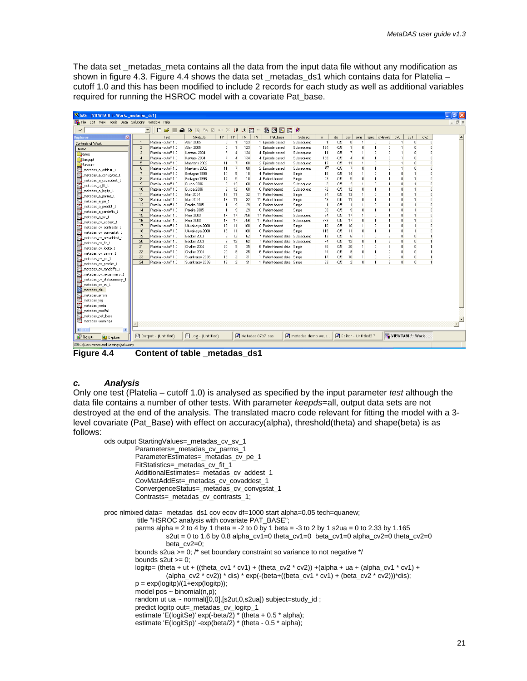The data set \_metadas\_meta contains all the data from the input data file without any modification as shown in figure 4.3. Figure 4.4 shows the data set metadas  $ds1$  which contains data for Platelia – cutoff 1.0 and this has been modified to include 2 records for each study as well as additional variables required for running the HSROC model with a covariate Pat base.

| SAS - IVIEWTABLE: Work. metadas ds11               |                  |                       |                    |                |                       |               |           |                                 |                                |                |        |                      |              |              |                          |                |                 |              | $\Box$ elx               |
|----------------------------------------------------|------------------|-----------------------|--------------------|----------------|-----------------------|---------------|-----------|---------------------------------|--------------------------------|----------------|--------|----------------------|--------------|--------------|--------------------------|----------------|-----------------|--------------|--------------------------|
| Edit View Tools Data Solutions Window Help<br>File |                  |                       |                    |                |                       |               |           |                                 |                                |                |        |                      |              |              |                          |                |                 |              | $ \overline{a}$ $\times$ |
| $\checkmark$                                       |                  | Ê<br>D<br>4<br>회      | <b>AREEOX</b>      |                | $\downarrow^{\alpha}$ | $\frac{1}{6}$ |           | $= 5 7 7 7$                     |                                |                |        |                      |              |              |                          |                |                 |              |                          |
| $\overline{\mathbf{x}}$<br>splorer                 |                  | Test                  | Study ID           | <b>TP</b>      | <b>FP</b>             | <b>TN</b>     | <b>FN</b> | Pat base                        | Subseq                         | n              | zib.   | DOS:                 | sens         | spec         | cylevels                 | cvO            | ev1             | cv2          |                          |
| Contents of 'Work'                                 | $\mathbf{1}$     | Platelia - cutoff 1.0 | Allan 2005         | 0              |                       | 123           |           | 1 Episode-based                 | Subsequent                     |                | 0.5    | O                    |              | $\theta$     | Ū.                       | $\overline{1}$ | $\overline{0}$  | $\theta$     |                          |
| Name                                               | $\overline{2}$   | Platelia - cutoff 1.0 | Allan 2005         | n              |                       | 123           |           | 1 Episode-based                 | Subsequent                     | 124            | $-0.5$ | 1                    | n            | 1            | n                        |                | $\Omega$        | n            |                          |
| <b>J</b> Gseg                                      | $\mathcal{R}$    | Platelia - cutoff 1.0 | Kawazu 2004        | 7              |                       | 134           |           | 4 Episode-based                 | Subsequent                     | 11             | 0.5    | $\overline{7}$       |              | $\Omega$     | n                        | 1              | $\Omega$        | n            |                          |
| Sasgopt                                            | $\boldsymbol{A}$ | Platelia - cutoff 1.0 | Kawazu 2004        | $\overline{7}$ | 4                     | 134           |           | 4 Episode-based                 | Subsequent                     | 138            | $-0.5$ | 4                    | n            | 1            | n                        | $\mathbf{1}$   | $\Omega$        | $\theta$     |                          |
| Sasmacr                                            | 5                | Platelia - cutoff 1.0 | Maertens 2002      | 11             | 7                     | 80            |           | 2 Episode-based                 | Subsequent                     | 13             | 0.5    | 11                   | 1            | $\mathbf{0}$ | $\mathbf{0}$             | $\mathbf{1}$   | $\mathbf{0}$    | $\mathbf{0}$ |                          |
| metadas a addest 1                                 | 6                | Platelia - cutoff 1.0 | Maertens 2002      | 11             | 7                     | 80            |           | 2 Episode-based                 | Subsequent                     | 87             | $-0.5$ | $\overline{7}$       | $\mathbf{0}$ | 1            | $\mathbf{0}$             | $\mathbf{1}$   | $\Omega$        | $\theta$     |                          |
| metadas_a_convgstat_1                              |                  | Platelia - cutoff 1.0 | Bretagne 1998      | 14             | 5                     | 18            |           | 4 Patient-based                 | Single                         | 18             | 0.5    | 14                   |              | $\theta$     | 1                        | $\theta$       |                 | Ò            |                          |
| metadas a covaddest 1                              | 8                | Platelia - cutoff 1.0 | Bretagne 1998      | 14             | 5                     | 18            |           | 4 Patient-based                 | Single                         | 23             | $-0.5$ | 5                    | n            | 1            | 1                        | $\Omega$       | $\mathbf{1}$    | ň            |                          |
| metadas a fit 1                                    | $\mathfrak{g}$   | Platelia - cutoff 1.0 | Busca 2006         | $\overline{c}$ | 12                    | 60            |           | 0 Patient-based                 | Subsequent                     | $\overline{2}$ | 0.5    | $\overline{c}$       | 1            | $\mathbf{0}$ | 1                        | $\Omega$       | $\mathbf{1}$    | n            |                          |
| metadas a logitp 1                                 | 10               | Platelia - cutoff 1.0 | Busca 2006         | $\overline{c}$ | 12                    | 60            |           | 0 Patient-based                 | Subsequent                     | 72             | $-0.5$ | 12                   | o            | 1            | 1                        | $\theta$       | $\mathbf{1}$    | O            |                          |
| metadas_a_parms_1                                  | 11               | Platelia - cutoff 1.0 | Marr 2004          | 13             | 11                    | 32            |           | 11 Patient-based                | Single                         | 24             | 0.5    | 13                   | 1            | $\mathbf{r}$ | 1                        | $\theta$       | $\mathbf{1}$    | $\mathbf{0}$ |                          |
| metadas a pe 1                                     | 12               | Platelia - cutoff 1.0 | Marr 2004          | 13             | 11                    | 32            |           | 11 Patient-based                | Single                         | 43             | $-0.5$ | 11                   | $\mathbf{0}$ | 1            | 1                        | $\theta$       | $\mathbf{1}$    | 0            |                          |
| metadas_a_predict_1                                | 13               | Platelia - cutoff 1.0 | Pereira 2005       | $\mathbf{1}$   | 9                     | 29            |           | 0 Patient-based                 | Single                         | $\overline{1}$ | 0.5    | $\overline{1}$       | 1            | $\theta$     | 1                        | $\theta$       | $\mathbf{1}$    | $\theta$     |                          |
| metadas_a_randeffs_1                               | 14               | Platelia - cutoff 1.0 | Pereira 2005       | $\mathbf{1}$   | 9                     | 29            |           | 0 Patient-based                 | Single                         | 38             | $-0.5$ | 9                    | n            | 1            | 1                        | $\mathbf{0}$   | $\overline{1}$  | ň            |                          |
| metadas a sv_1                                     | 15               | Platelia - cutoff 1.0 | <b>Pinel 2003</b>  | 17             | 17                    | 756           |           | 17 Patient-based                | Subsequent                     | 34             | 0.5    | 17                   |              | $\Omega$     | 1                        | $\theta$       | 1               | 0            |                          |
| n<br>metadas cv addest 1                           | 16               | Platelia - cutoff 1.0 | <b>Pinel 2003</b>  | 17             | 17                    | 756           |           | 17 Patient-based                | Subsequent                     | 773            | $-0.5$ | 17                   | o            | 1            | $\mathbf{1}$             | $\theta$       | $\mathbf{1}$    | O            |                          |
| metadas cv contrasts 1                             | 17               | Platelia - cutoff 1.0 | Ulusakarya 2000    | 16             | 11                    | 108           |           | 0 Patient-based                 | Single                         | 16             | 0.5    | 16                   | 1            | $\mathbf{r}$ | 1                        | $\theta$       | $\mathbf{1}$    | $\mathbf{0}$ |                          |
| metadas cv convostat 1                             | 18               | Platelia - cutoff 1.0 | Ulusakarva 2000    | 16             | 11                    | 108           |           | 0 Patient-based                 | Single                         | 119            | $-0.5$ | 11                   | Ō            | 1            | 1                        | $\theta$       | $\mathbf{1}$    | Ō            |                          |
| metadas cv covaddest 1                             | 19               | Platelia - cutoff 1.0 | Becker 2003        | 6              | 12                    | 62            |           | 7 Patient-based data            | Subsequent                     | 13             | 0.5    | ĥ                    |              | $\theta$     | $\overline{c}$           | $\theta$       | $\mathbf{0}$    | 1            |                          |
| metadas_cv_fit_1                                   | 20               | Platelia - cutoff 1.0 | Becker 2003        | 6              | 12                    | 62            |           | 7 Patient-based data Subsequent |                                | 74             | $-0.5$ | 12                   | n            | 1            | $\overline{\phantom{a}}$ | $\theta$       | $\mathbf{a}$    | 1            |                          |
| metadas cv logitp 1                                | 21               | Platelia - cutoff 1.0 | Challier 2004      | 20             | 9                     | 35            |           | 6 Patient-based data Single     |                                | 26             | 0.5    | 20                   | 1            | $\theta$     | $\overline{c}$           | $\theta$       | $\mathbf{0}$    | 1            |                          |
| metadas cv parms 1                                 | 22               | Platelia - cutoff 1.0 | Challier 2004      | 20             | 9                     | 35            |           | 6 Patient-based data            | Single                         | 44             | $-0.5$ | $\overline{9}$       | $\mathbf{0}$ | $\mathbf{1}$ | $\overline{2}$           | $\mathbf{0}$   | $\mathbf{0}$    | $\mathbf{1}$ |                          |
| metadas cv pe 1                                    | 23               | Platelia - cutoff 1.0 | Suankratav 2006    | 16             | $\overline{c}$        | 31            |           | 1 Patient-based data            | Single                         | 17             | 0.5    | 16                   |              | $\mathbf{0}$ | $\overline{c}$           | $\theta$       | $\bf{0}$        | $\mathbf{1}$ |                          |
| metadas cv predict 1                               | 24               | Platelia - cutoff 1.0 | Suankratav 2006    | 16             | $\overline{c}$        | 31            |           | 1 Patient-based data Single     |                                | 33             | $-0.5$ | $\overline{c}$       | $\bf{0}$     | f.           | $\overline{c}$           | $\theta$       | $\mathbf{0}$    | $\mathbf{1}$ |                          |
| metadas_cv_randeffs_1                              |                  |                       |                    |                |                       |               |           |                                 |                                |                |        |                      |              |              |                          |                |                 |              |                          |
| metadas_cv_relsummary_1                            |                  |                       |                    |                |                       |               |           |                                 |                                |                |        |                      |              |              |                          |                |                 |              |                          |
| metadas_cv_statsummary_1                           |                  |                       |                    |                |                       |               |           |                                 |                                |                |        |                      |              |              |                          |                |                 |              |                          |
| metadas cv sv 1                                    |                  |                       |                    |                |                       |               |           |                                 |                                |                |        |                      |              |              |                          |                |                 |              |                          |
| metadas ds1                                        |                  |                       |                    |                |                       |               |           |                                 |                                |                |        |                      |              |              |                          |                |                 |              |                          |
| metadas errors                                     |                  |                       |                    |                |                       |               |           |                                 |                                |                |        |                      |              |              |                          |                |                 |              |                          |
| _metadas_log                                       |                  |                       |                    |                |                       |               |           |                                 |                                |                |        |                      |              |              |                          |                |                 |              |                          |
| E<br>metadas meta                                  |                  |                       |                    |                |                       |               |           |                                 |                                |                |        |                      |              |              |                          |                |                 |              |                          |
| Ħ<br>metadas modfail                               |                  |                       |                    |                |                       |               |           |                                 |                                |                |        |                      |              |              |                          |                |                 |              |                          |
| ŧ<br>metadas pat base                              |                  |                       |                    |                |                       |               |           |                                 |                                |                |        |                      |              |              |                          |                |                 |              |                          |
| Ħ<br>metadas warnings                              |                  |                       |                    |                |                       |               |           |                                 |                                |                |        |                      |              |              |                          |                |                 |              | $\mathbf{r}$             |
|                                                    |                  |                       |                    |                |                       |               |           |                                 |                                |                |        |                      |              |              |                          |                |                 |              |                          |
| $\rightarrow$<br>K                                 |                  |                       |                    |                |                       |               |           |                                 |                                |                |        |                      |              |              |                          |                |                 |              |                          |
| <b>Results</b><br><b>Q.I</b> Explorer              |                  | 图 Output - (Untitled) | E Log - (Untitled) |                |                       |               |           | Metadas 0707.sas                | <sup>2</sup> metadas demo we.s |                |        | Editor - Untitled2 * |              |              |                          |                | VIEWTABLE: Work |              |                          |
| C:\Documents and Settings\takwoiny                 |                  |                       |                    |                |                       |               |           |                                 |                                |                |        |                      |              |              |                          |                |                 |              |                          |

**Figure 4.4 Content of table \_metadas\_ds1**

#### *c. Analysis*

Only one test (Platelia – cutoff 1.0) is analysed as specified by the input parameter *test* although the data file contains a number of other tests. With parameter *keepds*=all, output data sets are not destroyed at the end of the analysis. The translated macro code relevant for fitting the model with a 3 level covariate (Pat\_Base) with effect on accuracy(alpha), threshold(theta) and shape(beta) is as follows:

```
ods output StartingValues=_metadas_cv_sv_1 
          Parameters=_metadas_cv_parms_1 
          ParameterEstimates=_metadas_cv_pe_1
          FitStatistics=_metadas_cv_fit_1 
          AdditionalEstimates=_metadas_cv_addest_1 
          CovMatAddEst= metadas cv covaddest 1
          ConvergenceStatus= metadas cv convgstat 1
          Contrasts=_metadas_cv_contrasts_1;
proc nlmixed data= metadas ds1 cov ecov df=1000 start alpha=0.05 tech=quanew;
           title "HSROC analysis with covariate PAT_BASE";
          parms alpha = 2 to 4 by 1 theta = -2 to 0 by 1 beta = -3 to 2 by 1 s2ua = 0 to 2.33 by 1.165
                    s2ut = 0 to 1.6 by 0.8 alpha_cv1=0 theta_cv1=0 beta_cv1=0 alpha_cv2=0 theta_cv2=0
                    beta_cv2=0;
          bounds s2ua >= 0; /* set boundary constraint so variance to not negative */
          bounds s2ut >= 0;logitp = (theta + ut + ((theta_c v1 * cv1) + (theta_c v2 * cv2)) + (alpha + ua + (alpha_c v1 * cv1) +(alpha_cv2<sup>*</sup> cv2)) * dis) * exp(-(beta+((beta_cv1 * cv1) + (beta_cv2 * cv2)))*dis);
          p = \frac{exp(logitp)}{1 + exp(logitp)}model pos ~ binomial(n,p);
          random ut ua ~ normal([0,0],[s2ut,0,s2ud]) subject=study_id ;
          predict logitp out=_metadas_cv_logitp_1
          estimate 'E(logitSe)' exp(-beta/2) * (theta + 0.5 * alpha);
          estimate 'E(logitSp)' -exp(beta/2) * (theta - 0.5 * alpha);
```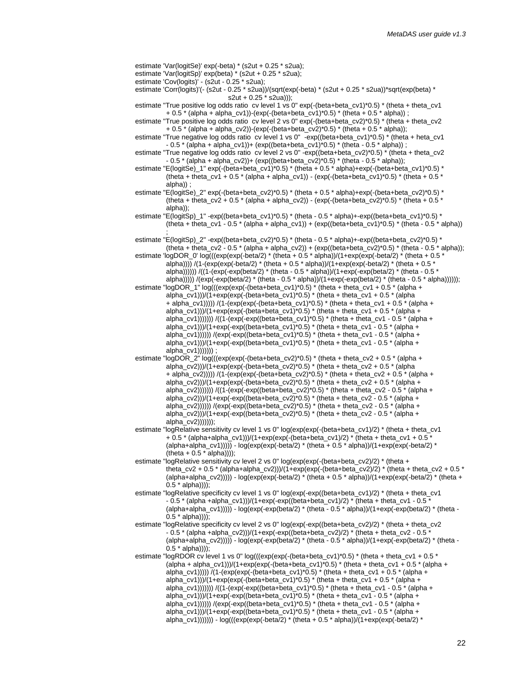estimate 'Var(logitSp)' exp(beta) \* (s2ut + 0.25 \* s2ua); estimate 'Cov(logits)' - (s2ut - 0.25 \* s2ua); estimate 'Corr(logits)'(- (s2ut - 0.25 \* s2ua))/(sqrt(exp(-beta) \* (s2ut + 0.25 \* s2ua))\*sqrt(exp(beta) \*  $s2ut + 0.25 * s2ua$ )); estimate "True positive log odds ratio cv level 1 vs 0" exp(-(beta+beta\_cv1)\*0.5) \* (theta + theta\_cv1 + 0.5 \* (alpha + alpha\_cv1))-(exp(-(beta+beta\_cv1)\*0.5) \* (theta + 0.5 \* alpha)) ; estimate "True positive log odds ratio cv level 2 vs 0" exp(-(beta+beta\_cv2)\*0.5) \* (theta + theta\_cv2 + 0.5 \* (alpha + alpha\_cv2))-(exp(-(beta+beta\_cv2)\*0.5) \* (theta + 0.5 \* alpha)); estimate "True negative log odds ratio cv level 1 vs 0" -exp((beta+beta\_cv1)\*0.5) \* (theta + heta\_cv1  $-0.5 * (alpha + alpha_{cv1}) + (exp((beta + beta_{cv1}) * 0.5) * (theta - 0.5 * alpha));$ estimate "True negative log odds ratio cv level 2 vs 0" -exp((beta+beta\_cv2)\*0.5) \* (theta + theta\_cv2 - 0.5 \* (alpha + alpha\_cv2))+ (exp((beta+beta\_cv2)\*0.5) \* (theta - 0.5 \* alpha)); estimate "E(logitSe) 1" exp(-(beta+beta\_cv1)\*0.5) \* (theta + 0.5 \* alpha)+exp(-(beta+beta\_cv1)\*0.5) \* (theta + theta\_cv1 + 0.5 \* (alpha + alpha\_cv1)) - (exp(-(beta+beta\_cv1)\*0.5) \* (theta + 0.5 \* alpha)) ; estimate "E(logitSe)\_2" exp(-(beta+beta\_cv2)\*0.5) \* (theta + 0.5 \* alpha)+exp(-(beta+beta\_cv2)\*0.5) \* (theta + theta\_cv2 + 0.5 \* (alpha + alpha\_cv2)) - (exp(-(beta+beta\_cv2)\*0.5) \* (theta + 0.5 \* alpha)); estimate "E(logitSp) 1" -exp((beta+beta\_cv1)\*0.5) \* (theta - 0.5 \* alpha)+-exp((beta+beta\_cv1)\*0.5) \* (theta + theta\_cv1 - 0.5 \* (alpha + alpha\_cv1)) + (exp((beta+beta\_cv1)\*0.5) \* (theta - 0.5 \* alpha)) ; estimate "E(logitSp)\_2" -exp((beta+beta\_cv2)\*0.5) \* (theta - 0.5 \* alpha)+-exp((beta+beta\_cv2)\*0.5) \* (theta + theta\_cv2 - 0.5 \* (alpha + alpha\_cv2)) + (exp((beta+beta\_cv2)\*0.5) \* (theta - 0.5 \* alpha)); estimate 'logDOR\_0' log(((exp(exp(-beta/2) \* (theta + 0.5 \* alpha))/(1+exp(exp(-beta/2) \* (theta + 0.5 \* alpha)))) /(1-(exp(exp(-beta/2)  $*$  (theta + 0.5  $*$  alpha))/(1+exp(exp(-beta/2)  $*$  (theta + 0.5  $*$ alpha))))) /((1-(exp(-exp(beta/2) \* (theta - 0.5 \* alpha))/(1+exp(-exp(beta/2) \* (theta - 0.5 \* alpha)))) /(exp(-exp(beta/2) \* (theta - 0.5 \* alpha))/(1+exp(-exp(beta/2) \* (theta - 0.5 \* alpha))))); estimate "logDOR\_1" log(((exp(exp(-(beta+beta\_cv1)\*0.5) \* (theta + theta\_cv1 + 0.5 \* (alpha + alpha\_cv1)))/(1+exp(exp(-(beta+beta\_cv1)\*0.5) \* (theta + theta\_cv1 + 0.5 \* (alpha + alpha\_cv1)))) /(1-(exp(exp(-(beta+beta\_cv1)\*0.5) \* (theta + theta\_cv1 + 0.5 \* (alpha + alpha\_cv1)))/(1+exp(exp(-(beta+beta\_cv1)\*0.5) \* (theta + theta\_cv1 + 0.5 \* (alpha + alpha\_cv1)))))) /((1-(exp(-exp((beta+beta\_cv1)\*0.5) \* (theta + theta\_cv1 - 0.5 \* (alpha + alpha\_cv1)))/(1+exp(-exp((beta+beta\_cv1)\*0.5) \* (theta + theta\_cv1 - 0.5 \* (alpha + alpha\_cv1)))))) /(exp(-exp((beta+beta\_cv1)\*0.5) \* (theta + theta\_cv1 - 0.5 \* (alpha +  $\alpha$ lpha\_cv1)))/(1+exp(-exp((beta+beta\_cv1)\*0.5) \* (theta + theta\_cv1 - 0.5 \* (alpha +  $alpha$  $cv1))))))$  ; estimate "logDOR\_2"  $log((exp(exp(-beta+beta-cv2)^*0.5)$ " (theta + theta\_cv2 + 0.5" (alpha + alpha\_cv2)))/(1+exp(exp(-(beta+beta\_cv2)\*0.5) \* (theta + theta\_cv2 + 0.5 \* (alpha + alpha\_cv2))))) /(1-(exp(exp(-(beta+beta\_cv2)\*0.5) \* (theta + theta\_cv2 + 0.5 \* (alpha + alpha\_cv2)))/(1+exp(exp(-(beta+beta\_cv2)\*0.5) \* (theta + theta\_cv2 + 0.5 \* (alpha + alpha\_cv2))))))) /((1-(exp(-exp((beta+beta\_cv2)\*0.5) \* (theta + theta\_cv2 - 0.5 \* (alpha + alpha\_cv2)))/(1+exp(-exp((beta+beta\_cv2)\*0.5) \* (theta + theta\_cv2 - 0.5 \* (alpha + alpha\_cv2)))))) /(exp(-exp((beta+beta\_cv2)\*0.5) \* (theta + theta\_cv2 - 0.5 \* (alpha + alpha\_cv2)))/(1+exp(-exp((beta+beta\_cv2)\*0.5) \* (theta + theta\_cv2 - 0.5 \* (alpha + alpha\_cv2))))))); estimate "logRelative sensitivity cv level 1 vs 0" log(exp(exp(-(beta+beta\_cv1)/2) \* (theta + theta\_cv1  $+$  0.5  $*$  (alpha+alpha\_cv1)))/(1+exp(exp(-(beta+beta\_cv1)/2)  $*$  (theta + theta\_cv1 + 0.5  $*$ (alpha+alpha\_cv1))))) - log(exp(exp(-beta/2) \* (theta + 0.5 \* alpha))/(1+exp(exp(-beta/2) \*  $(heta + 0.5 * alpha))$ ; estimate "logRelative sensitivity cy level 2 vs  $0$ " log(exp(exp(-(beta+beta\_cv2)/2) \* (theta + theta\_cv2 + 0.5 \* (alpha+alpha\_cv2)))/(1+exp(exp(-(beta+beta\_cv2)/2) \* (theta + theta\_cv2 + 0.5 \* (alpha+alpha\_cv2))))) - log(exp(exp(-beta/2) \* (theta + 0.5 \* alpha))/(1+exp(exp(-beta/2) \* (theta +  $0.5 * alpha))$ ; estimate "logRelative specificity cv level 1 vs 0" log(exp(-exp((beta+beta\_cv1)/2) \* (theta + theta\_cv1 - 0.5 \* (alpha +alpha\_cv1)))/(1+exp(-exp((beta+beta\_cv1)/2) \* (theta + theta\_cv1 - 0.5 \* (alpha+alpha\_cv1))))) - log(exp(-exp(beta/2) \* (theta - 0.5 \* alpha))/(1+exp(-exp(beta/2) \* (theta -  $0.5 * alpha))$ ; estimate "logRelative specificity cv level 2 vs 0" log(exp(-exp((beta+beta\_cv2)/2) \* (theta + theta\_cv2 - 0.5 \* (alpha +alpha\_cv2)))/(1+exp(-exp((beta+beta\_cv2)/2) \* (theta + theta\_cv2 - 0.5 \* (alpha+alpha\_cv2))))) -  $log(exp(-exp(beta/2) * (theta - 0.5 * alpha))/(1+exp(-exp(beta/2) * (theta - 0.5 * a))$  $0.5 * alpha))$ ; estimate "logRDOR cv level 1 vs 0" log(( $\exp(\exp(-\theta t)$ ) =  $\exp(-\theta t)$  (theta + theta cv1 + 0.5 \* (alpha + alpha\_cv1))/(1+exp(exp(-(beta+beta\_cv1)\*0.5) \* (theta + theta\_cv1 + 0.5 \* (alpha + alpha\_cv1))))) /(1-(exp(exp(-(beta+beta\_cv1)\*0.5) \* (theta + theta\_cv1 + 0.5 \* (alpha + alpha\_cv1)))/(1+exp(exp(-(beta+beta\_cv1)\*0.5) \* (theta + theta\_cv1 + 0.5 \* (alpha + alpha\_cv1)))))) /((1-(exp(-exp((beta+beta\_cv1)\*0.5) \* (theta + theta\_cv1 - 0.5 \* (alpha + alpha\_cv1)))/(1+exp(-exp((beta+beta\_cv1)\*0.5) \* (theta + theta\_cv1 - 0.5 \* (alpha + alpha\_cv1)))))) /(exp(-exp((beta+beta\_cv1)\*0.5) \* (theta + theta\_cv1 - 0.5 \* (alpha + alpha\_cv1)))/(1+exp(-exp((beta+beta\_cv1)\*0.5) \* (theta + theta\_cv1 - 0.5 \* (alpha +

alpha\_cv1)))))) - log(((exp(exp(-beta/2) \* (theta + 0.5 \* alpha))/ $(1+exp(exp(-beta/2)$  \*

estimate 'Var(logitSe)' exp(-beta) \* (s2ut + 0.25 \* s2ua);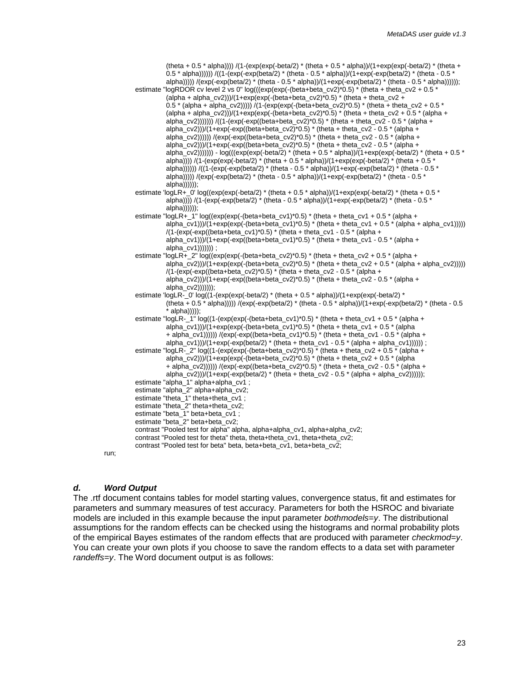(theta + 0.5  $*$  alpha)))) /(1-(exp(exp(-beta/2)  $*$  (theta + 0.5  $*$  alpha))/(1+exp(exp(-beta/2)  $*$  (theta + 0.5 \* alpha)))))) /((1-(exp(-exp(beta/2) \* (theta - 0.5 \* alpha))/(1+exp(-exp(beta/2) \* (theta - 0.5 \* alpha)))))  $/(exp(-exp(beta/2) * (theta - 0.5 * alpha)))/(1+exp(-exp(beta/2) * (theta - 0.5 * alpha))))$ ; estimate "logRDOR cv level 2 vs 0" log(((exp(exp(-(beta+beta\_cv2)\*0.5) \* (theta + theta\_cv2 + 0.5 \* (alpha + alpha\_cv2)))/(1+exp(exp(-(beta+beta\_cv2)\*0.5) \* (theta + theta\_cv2 + 0.5 \* (alpha + alpha\_cv2))))) /(1-(exp(exp(-(beta+beta\_cv2)\*0.5) \* (theta + theta\_cv2 + 0.5 \* (alpha + alpha\_cv2)))/(1+exp(exp(-(beta+beta\_cv2)\*0.5) \* (theta + theta\_cv2 + 0.5 \* (alpha + alpha\_cv2))))))) /((1-(exp(-exp((beta+beta\_cv2)\*0.5) \* (theta + theta\_cv2 - 0.5 \* (alpha + alpha\_cv2)))/(1+exp(-exp((beta+beta\_cv2)\*0.5) \* (theta + theta\_cv2 - 0.5  $*$  (alpha + alpha\_cv2)))))) /(exp(-exp((beta+beta\_cv2)\*0.5) \* (theta + theta\_cv2 - 0.5 \* (alpha + alpha\_cv2)))/(1+exp(-exp((beta+beta\_cv2)\*0.5) \* (theta + theta\_cv2 - 0.5 \* (alpha + alpha\_cv2)))))) - log(((exp(exp(-beta/2) \* (theta + 0.5 \* alpha))/(1+exp(exp(-beta/2) \* (theta + 0.5 \* alpha)))) /(1-(exp(exp(-beta/2)  $*$  (theta + 0.5  $*$  alpha))/(1+exp(exp(-beta/2)  $*$  (theta + 0.5  $*$ alpha)))))) /((1-(exp(-exp(beta/2)  $*$  (theta - 0.5  $*$  alpha))/(1+exp(-exp(beta/2)  $*$  (theta - 0.5  $*$  $\frac{1}{\text{alpha}}$ )))) /(exp(-exp(beta/2) \* (theta - 0.5 \* alpha))/(1+exp(-exp(beta/2) \* (theta - 0.5 \*  $a$ (pha)))))); estimate 'logLR+\_0' log((exp(exp(-beta/2) \* (theta + 0.5 \* alpha))/(1+exp(exp(-beta/2) \* (theta + 0.5 \* alpha)))) /(1-(exp(-exp(beta/2)  $*$  (theta - 0.5  $*$  alpha))/(1+exp(-exp(beta/2)  $*$  (theta - 0.5  $*$ alpha)))))); estimate "logLR+ 1" log((exp(exp(-(beta+beta\_cv1)\*0.5) \* (theta + theta\_cv1 + 0.5 \* (alpha + alpha\_cv1)))/(1+exp(exp(-(beta+beta\_cv1)\*0.5) \* (theta + theta\_cv1 + 0.5 \* (alpha + alpha\_cv1))))) /(1-(exp(-exp((beta+beta\_cv1)\*0.5) \* (theta + theta\_cv1 - 0.5 \* (alpha + alpha\_cv1)))/(1+exp(-exp((beta+beta\_cv1)\*0.5) \* (theta + theta\_cv1 - 0.5 \* (alpha + alpha\_cv1))))))) ; estimate "logLR+\_2" log((exp(exp(-(beta+beta\_cv2)\*0.5) \* (theta + theta\_cv2 + 0.5 \* (alpha + alpha\_cv2)))/(1+exp(exp(-(beta+beta\_cv2)\*0.5) \* (theta + theta\_cv2 + 0.5 \* (alpha + alpha\_cv2))))) /(1-(exp(-exp((beta+beta\_cv2)\*0.5) \* (theta + theta\_cv2 - 0.5 \* (alpha + alpha\_cv2)))/(1+exp(-exp((beta+beta\_cv2)\*0.5) \* (theta + theta\_cv2 - 0.5 \* (alpha + alpha\_cv2))))))); estimate 'logLR- 0' log((1-(exp(exp(-beta/2)  $*$  (theta + 0.5  $*$  alpha))/(1+exp(exp(-beta/2)  $*$ (theta + 0.5  $*$  alpha))))) /(exp(-exp(beta/2)  $*$  (theta - 0.5  $*$  alpha))/(1+exp(-exp(beta/2)  $*$  (theta - 0.5 alpha))))); estimate "logLR- $11'$  log((1-(exp(exp(-(beta+beta\_cv1)\*0.5) \* (theta + theta\_cv1 + 0.5 \* (alpha + alpha\_cv1))) $/(1+exp(exp(-fbeta+beta_cv1)^*0.5)$  \* (theta + theta\_cv1 + 0.5 \* (alpha + alpha\_cv1)))))) /(exp(-exp((beta+beta\_cv1)\*0.5) \* (theta + theta\_cv1 - 0.5 \* (alpha + alpha\_cv1)))/(1+exp(-exp(beta/2)  $*$  (theta + theta\_cv1 - 0.5  $*$  (alpha + alpha\_cv1)))))) ; estimate "logLR-\_2"  $log((1-(exp(exp)(-beta+beta-cv2)^*0.5))^*$  (theta + theta\_cv2 + 0.5  $*$  (alpha + alpha\_cv2)))/(1+exp(exp(-(beta+beta\_cv2)\*0.5) \* (theta + theta\_cv2 + 0.5 \* (alpha + alpha\_cv2)))))) /(exp(-exp((beta+beta\_cv2)\*0.5) \* (theta + theta\_cv2 - 0.5  $\overline{ }$  alpha + alpha\_cv2)))/(1+exp(-exp(beta/2)  $*$  (theta + theta\_cv2 - 0.5  $*$  (alpha + alpha\_cv2)))))); estimate "alpha\_1" alpha+alpha\_cv1 ; estimate "alpha\_2" alpha+alpha\_cv2; estimate "theta\_1" theta+theta\_cv1 ; estimate "theta\_2" theta+theta\_cv2; estimate "beta\_1" beta+beta\_cv1 ; estimate "beta\_2" beta+beta\_cv2; contrast "Pooled test for alpha" alpha, alpha+alpha\_cv1, alpha+alpha\_cv2; contrast "Pooled test for theta" theta, theta+theta\_cv1, theta+theta\_cv2; contrast "Pooled test for beta" beta, beta+beta\_cv1, beta+beta\_cv2;

#### run;

#### *d. Word Output*

The .rtf document contains tables for model starting values, convergence status, fit and estimates for parameters and summary measures of test accuracy. Parameters for both the HSROC and bivariate models are included in this example because the input parameter *bothmodels*=*y*. The distributional assumptions for the random effects can be checked using the histograms and normal probability plots of the empirical Bayes estimates of the random effects that are produced with parameter *checkmod*=*y*. You can create your own plots if you choose to save the random effects to a data set with parameter *randeffs*=*y*. The Word document output is as follows: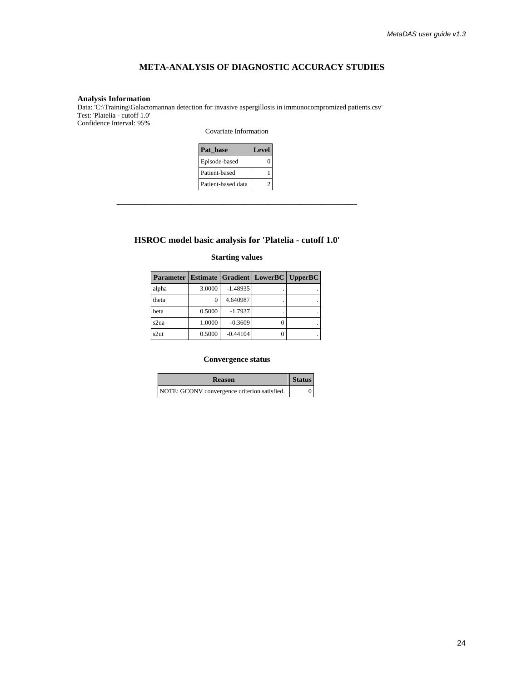### **META-ANALYSIS OF DIAGNOSTIC ACCURACY STUDIES**

#### **Analysis Information**

Data: 'C:\Training\Galactomannan detection for invasive aspergillosis in immunocompromized patients.csv' Test: 'Platelia - cutoff 1.0' Confidence Interval: 95%

Covariate Information

| Pat base           | <b>Level</b> |
|--------------------|--------------|
| Episode-based      |              |
| Patient-based      |              |
| Patient-based data |              |

#### **HSROC model basic analysis for 'Platelia - cutoff 1.0'**

\_\_\_\_\_\_\_\_\_\_\_\_\_\_\_\_\_\_\_\_\_\_\_\_\_\_\_\_\_\_\_\_\_\_\_\_\_\_\_\_\_\_\_\_\_\_\_\_\_\_\_\_\_\_\_\_\_\_\_\_\_\_\_\_\_\_\_\_

#### **Starting values**

| <b>Parameter   Estimate   Gradient   LowerBC   UpperBC  </b> |        |            |  |
|--------------------------------------------------------------|--------|------------|--|
| alpha                                                        | 3.0000 | $-1.48935$ |  |
| theta                                                        |        | 4.640987   |  |
| beta                                                         | 0.5000 | $-1.7937$  |  |
| s2ua                                                         | 1.0000 | $-0.3609$  |  |
| s2ut                                                         | 0.5000 | $-0.44104$ |  |

#### **Convergence status**

| <b>Reason</b>                                | <b>Status</b> |
|----------------------------------------------|---------------|
| NOTE: GCONV convergence criterion satisfied. |               |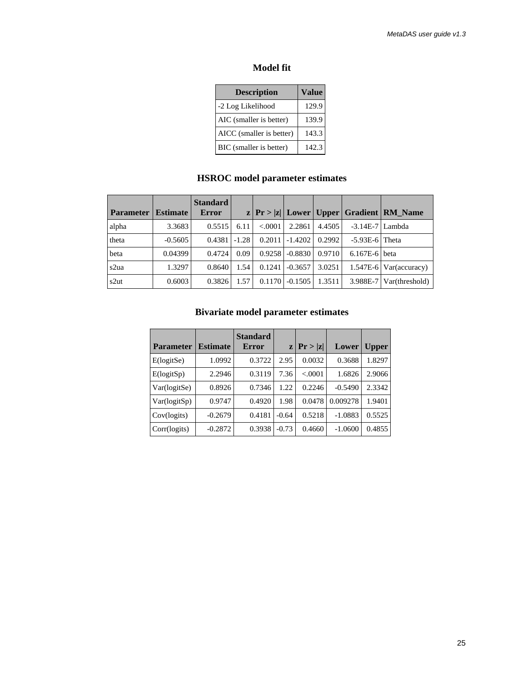### **Model fit**

| <b>Description</b>       | Value |
|--------------------------|-------|
| -2 Log Likelihood        | 129.9 |
| AIC (smaller is better)  | 139.9 |
| AICC (smaller is better) | 143.3 |
| BIC (smaller is better)  | 142.3 |

# **HSROC model parameter estimates**

| <b>Parameter</b> | <b>Estimate</b> | <b>Standard</b><br>Error |         |         |           |        |                   | $ z $ Pr >  z   Lower   Upper   Gradient   RM_Name |
|------------------|-----------------|--------------------------|---------|---------|-----------|--------|-------------------|----------------------------------------------------|
| alpha            | 3.3683          | 0.5515                   | 6.11    | < .0001 | 2.2861    | 4.4505 | $-3.14E-7$ Lambda |                                                    |
| theta            | $-0.5605$       | 0.4381                   | $-1.28$ | 0.2011  | $-1.4202$ | 0.2992 | $-5.93E-6$ Theta  |                                                    |
| beta             | 0.04399         | 0.4724                   | 0.09    | 0.9258  | $-0.8830$ | 0.9710 | $6.167E-6$ beta   |                                                    |
| s2ua             | 1.3297          | 0.8640                   | 1.54    | 0.1241  | $-0.3657$ | 3.0251 |                   | $1.547E-6$ Var(accuracy)                           |
| s2ut             | 0.6003          | 0.3826                   | 1.57    | 0.1170  | $-0.1505$ | 1.3511 |                   | $3.988E-7$ Var(threshold)                          |

# **Bivariate model parameter estimates**

| <b>Parameter</b> | <b>Estimate</b> | <b>Standard</b><br>Error | z       | Pr >  z  | Lower     | <b>Upper</b> |
|------------------|-----------------|--------------------------|---------|----------|-----------|--------------|
| E(logitSe)       | 1.0992          | 0.3722                   | 2.95    | 0.0032   | 0.3688    | 1.8297       |
| E(logitsp)       | 2.2946          | 0.3119                   | 7.36    | < 0.0001 | 1.6826    | 2.9066       |
| Var(logitSe)     | 0.8926          | 0.7346                   | 1.22    | 0.2246   | $-0.5490$ | 2.3342       |
| Var(logitSp)     | 0.9747          | 0.4920                   | 1.98    | 0.0478   | 0.009278  | 1.9401       |
| Cov(logits)      | $-0.2679$       | 0.4181                   | $-0.64$ | 0.5218   | $-1.0883$ | 0.5525       |
| Corr(logits)     | $-0.2872$       | 0.3938                   | $-0.73$ | 0.4660   | $-1.0600$ | 0.4855       |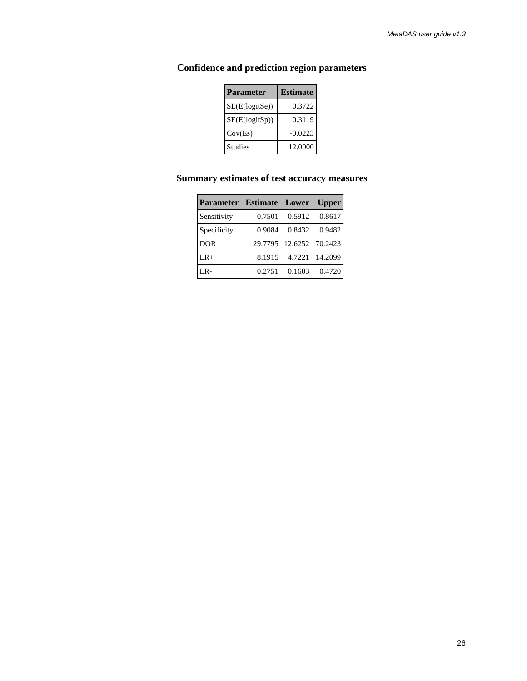| <b>Parameter</b> | <b>Estimate</b> |
|------------------|-----------------|
| SE(E(logitSe))   | 0.3722          |
| SE(E(logitSp))   | 0.3119          |
| Cov(Es)          | $-0.0223$       |
| <b>Studies</b>   | 12.0000         |

# **Confidence and prediction region parameters**

# **Summary estimates of test accuracy measures**

| <b>Parameter</b> | <b>Estimate</b> | Lower   | <b>Upper</b> |
|------------------|-----------------|---------|--------------|
| Sensitivity      | 0.7501          | 0.5912  | 0.8617       |
| Specificity      | 0.9084          | 0.8432  | 0.9482       |
| <b>DOR</b>       | 29.7795         | 12.6252 | 70.2423      |
| $LR+$            | 8.1915          | 4.7221  | 14.2099      |
| LR-              | 0.2751          | 0.1603  | 0.4720       |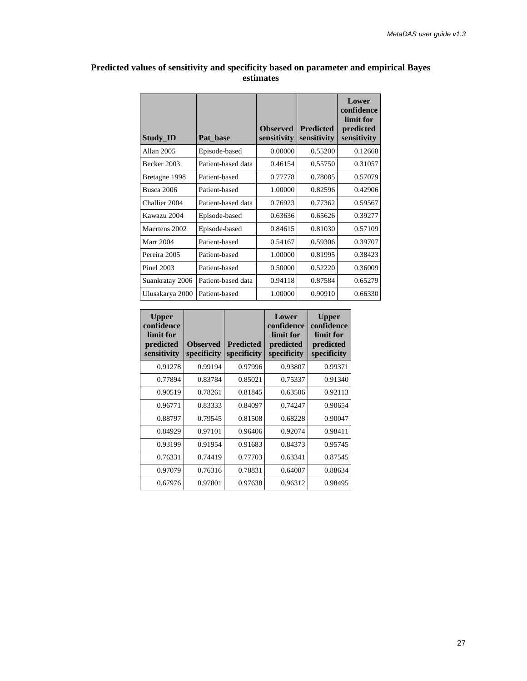| <b>Study ID</b> | Pat base           | <b>Observed</b><br>sensitivity | <b>Predicted</b><br>sensitivity | Lower<br>confidence<br>limit for<br>predicted<br>sensitivity |
|-----------------|--------------------|--------------------------------|---------------------------------|--------------------------------------------------------------|
| Allan 2005      | Episode-based      | 0.00000                        | 0.55200                         | 0.12668                                                      |
| Becker 2003     | Patient-based data | 0.46154                        | 0.55750                         | 0.31057                                                      |
| Bretagne 1998   | Patient-based      | 0.77778                        | 0.78085                         | 0.57079                                                      |
| Busca 2006      | Patient-based      | 1.00000                        | 0.82596                         | 0.42906                                                      |
| Challier 2004   | Patient-based data | 0.76923                        | 0.77362                         | 0.59567                                                      |
| Kawazu 2004     | Episode-based      | 0.63636                        | 0.65626                         | 0.39277                                                      |
| Maertens 2002   | Episode-based      | 0.84615                        | 0.81030                         | 0.57109                                                      |
| Marr 2004       | Patient-based      | 0.54167                        | 0.59306                         | 0.39707                                                      |
| Pereira 2005    | Patient-based      | 1.00000                        | 0.81995                         | 0.38423                                                      |
| Pinel 2003      | Patient-based      | 0.50000                        | 0.52220                         | 0.36009                                                      |
| Suankratay 2006 | Patient-based data | 0.94118                        | 0.87584                         | 0.65279                                                      |
| Ulusakarya 2000 | Patient-based      | 1.00000                        | 0.90910                         | 0.66330                                                      |

#### **Predicted values of sensitivity and specificity based on parameter and empirical Bayes estimates**

 $\blacksquare$ 

| <b>Upper</b><br>confidence<br>limit for<br>predicted<br>sensitivity | <b>Observed</b><br>specificity | <b>Predicted</b><br>specificity | Lower<br>confidence<br>limit for<br>predicted<br>specificity | <b>Upper</b><br>confidence<br>limit for<br>predicted<br>specificity |
|---------------------------------------------------------------------|--------------------------------|---------------------------------|--------------------------------------------------------------|---------------------------------------------------------------------|
| 0.91278                                                             | 0.99194                        | 0.97996                         | 0.93807                                                      | 0.99371                                                             |
| 0.77894                                                             | 0.83784                        | 0.85021                         | 0.75337                                                      | 0.91340                                                             |
| 0.90519                                                             | 0.78261                        | 0.81845                         | 0.63506                                                      | 0.92113                                                             |
| 0.96771                                                             | 0.83333                        | 0.84097                         | 0.74247                                                      | 0.90654                                                             |
| 0.88797                                                             | 0.79545                        | 0.81508                         | 0.68228                                                      | 0.90047                                                             |
| 0.84929                                                             | 0.97101                        | 0.96406                         | 0.92074                                                      | 0.98411                                                             |
| 0.93199                                                             | 0.91954                        | 0.91683                         | 0.84373                                                      | 0.95745                                                             |
| 0.76331                                                             | 0.74419                        | 0.77703                         | 0.63341                                                      | 0.87545                                                             |
| 0.97079                                                             | 0.76316                        | 0.78831                         | 0.64007                                                      | 0.88634                                                             |
| 0.67976                                                             | 0.97801                        | 0.97638                         | 0.96312                                                      | 0.98495                                                             |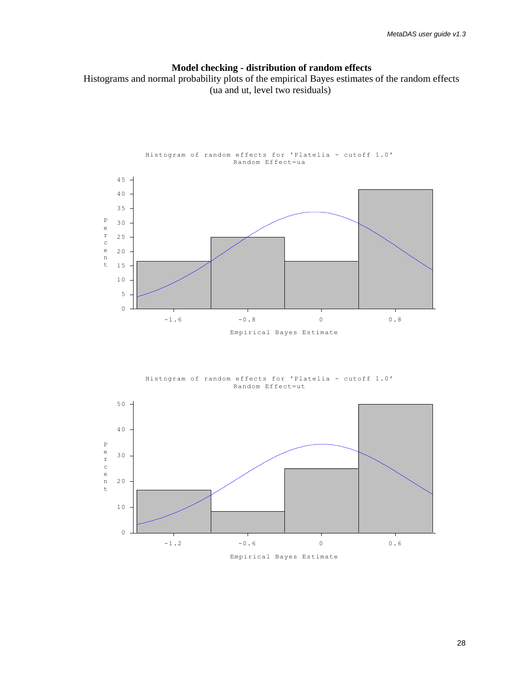# **Model checking - distribution of random effects**

 Histograms and normal probability plots of the empirical Bayes estimates of the random effects (ua and ut, level two residuals)



Histogram of random effects for 'Platelia - cutoff 1.0' Random Effect=ut

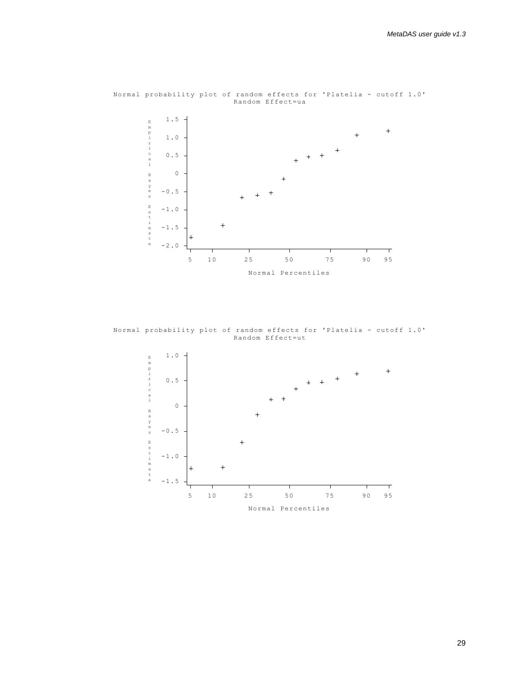

Normal probability plot of random effects for 'Platelia - cutoff 1.0' Random Effect=ua

Normal probability plot of random effects for 'Platelia - cutoff 1.0' Random Effect=ut

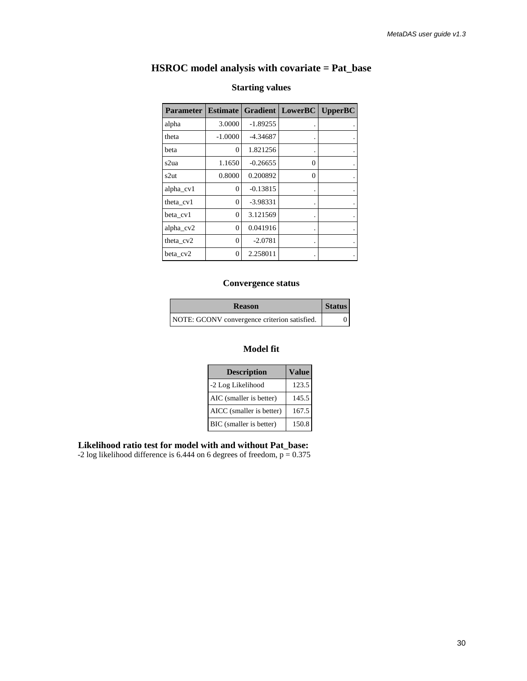# **HSROC model analysis with covariate = Pat\_base**

| <b>Parameter</b> | <b>Estimate</b> |            | <b>Gradient   LowerBC</b> | Upper BC |
|------------------|-----------------|------------|---------------------------|----------|
| alpha            | 3.0000          | $-1.89255$ |                           |          |
| theta            | $-1.0000$       | -4.34687   |                           |          |
| beta             | 0               | 1.821256   |                           |          |
| s2ua             | 1.1650          | $-0.26655$ | 0                         |          |
| s2ut             | 0.8000          | 0.200892   | 0                         |          |
| alpha_cv1        | $\Omega$        | $-0.13815$ |                           |          |
| theta cv1        | 0               | $-3.98331$ |                           |          |
| beta_cv1         | $\theta$        | 3.121569   |                           |          |
| alpha_ $cv2$     | $\Omega$        | 0.041916   |                           |          |
| theta_ $cv2$     | $\Omega$        | $-2.0781$  | ٠                         |          |
| beta cv2         | $\Omega$        | 2.258011   |                           |          |

### **Starting values**

#### **Convergence status**

| <b>Reason</b>                                | <b>Status</b> |
|----------------------------------------------|---------------|
| NOTE: GCONV convergence criterion satisfied. |               |

#### **Model fit**

| <b>Description</b>       | Value |
|--------------------------|-------|
| -2 Log Likelihood        | 123.5 |
| AIC (smaller is better)  | 145.5 |
| AICC (smaller is better) | 167.5 |
| BIC (smaller is better)  | 150.8 |

 **Likelihood ratio test for model with and without Pat\_base:**

-2 log likelihood difference is  $6.444$  on 6 degrees of freedom,  $p = 0.375$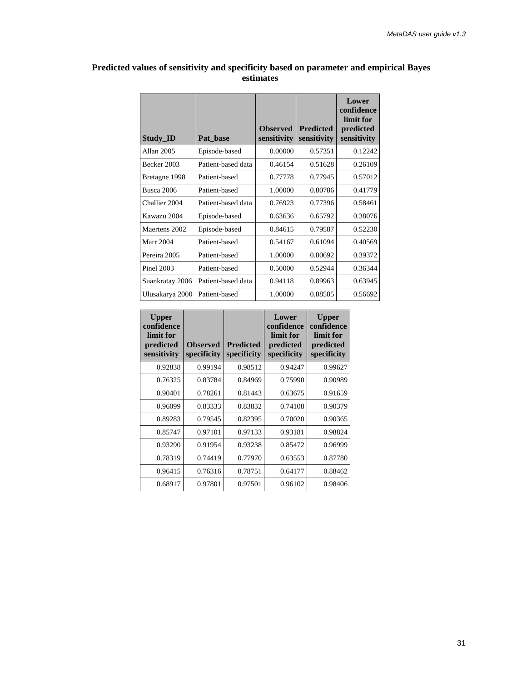| <b>Study ID</b>  | Pat base           | <b>Observed</b><br>sensitivity | <b>Predicted</b><br>sensitivity | Lower<br>confidence<br>limit for<br>predicted<br>sensitivity |
|------------------|--------------------|--------------------------------|---------------------------------|--------------------------------------------------------------|
| Allan 2005       | Episode-based      | 0.00000                        | 0.57351                         | 0.12242                                                      |
| Becker 2003      | Patient-based data | 0.46154                        | 0.51628                         | 0.26109                                                      |
| Bretagne 1998    | Patient-based      | 0.77778                        | 0.77945                         | 0.57012                                                      |
| Busca 2006       | Patient-based      | 1.00000                        | 0.80786                         | 0.41779                                                      |
| Challier 2004    | Patient-based data | 0.76923                        | 0.77396                         | 0.58461                                                      |
| Kawazu 2004      | Episode-based      | 0.63636                        | 0.65792                         | 0.38076                                                      |
| Maertens 2002    | Episode-based      | 0.84615                        | 0.79587                         | 0.52230                                                      |
| <b>Marr 2004</b> | Patient-based      | 0.54167                        | 0.61094                         | 0.40569                                                      |
| Pereira 2005     | Patient-based      | 1.00000                        | 0.80692                         | 0.39372                                                      |
| Pinel 2003       | Patient-based      | 0.50000                        | 0.52944                         | 0.36344                                                      |
| Suankratay 2006  | Patient-based data | 0.94118                        | 0.89963                         | 0.63945                                                      |
| Ulusakarya 2000  | Patient-based      | 1.00000                        | 0.88585                         | 0.56692                                                      |

#### **Predicted values of sensitivity and specificity based on parameter and empirical Bayes estimates**

| <b>Upper</b><br>confidence<br>limit for<br>predicted<br>sensitivity | <b>Observed</b><br>specificity | <b>Predicted</b><br>specificity | Lower<br>confidence<br>limit for<br>predicted<br>specificity | <b>Upper</b><br>confidence<br>limit for<br>predicted<br>specificity |
|---------------------------------------------------------------------|--------------------------------|---------------------------------|--------------------------------------------------------------|---------------------------------------------------------------------|
| 0.92838                                                             | 0.99194                        | 0.98512                         | 0.94247                                                      | 0.99627                                                             |
| 0.76325                                                             | 0.83784                        | 0.84969                         | 0.75990                                                      | 0.90989                                                             |
| 0.90401                                                             | 0.78261                        | 0.81443                         | 0.63675                                                      | 0.91659                                                             |
| 0.96099                                                             | 0.83333                        | 0.83832                         | 0.74108                                                      | 0.90379                                                             |
| 0.89283                                                             | 0.79545                        | 0.82395                         | 0.70020                                                      | 0.90365                                                             |
| 0.85747                                                             | 0.97101                        | 0.97133                         | 0.93181                                                      | 0.98824                                                             |
| 0.93290                                                             | 0.91954                        | 0.93238                         | 0.85472                                                      | 0.96999                                                             |
| 0.78319                                                             | 0.74419                        | 0.77970                         | 0.63553                                                      | 0.87780                                                             |
| 0.96415                                                             | 0.76316                        | 0.78751                         | 0.64177                                                      | 0.88462                                                             |
| 0.68917                                                             | 0.97801                        | 0.97501                         | 0.96102                                                      | 0.98406                                                             |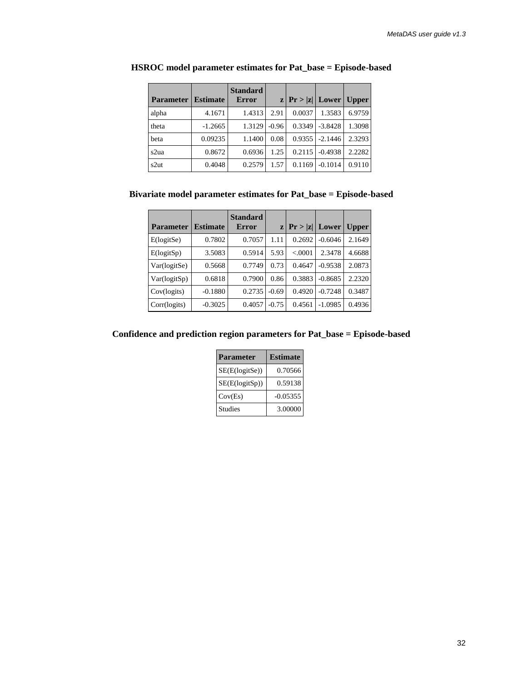| <b>Parameter</b> | <b>Estimate</b> | <b>Standard</b><br><b>Error</b> |         | $z \,   \, Pr >  z  \,  $ Lower |           | <b>Upper</b> |
|------------------|-----------------|---------------------------------|---------|---------------------------------|-----------|--------------|
| alpha            | 4.1671          | 1.4313                          | 2.91    | 0.0037                          | 1.3583    | 6.9759       |
| theta            | $-1.2665$       | 1.3129                          | $-0.96$ | 0.3349                          | $-3.8428$ | 1.3098       |
| beta             | 0.09235         | 1.1400                          | 0.08    | 0.9355                          | $-2.1446$ | 2.3293       |
| s2ua             | 0.8672          | 0.6936                          | 1.25    | 0.2115                          | $-0.4938$ | 2.2282       |
| s2ut             | 0.4048          | 0.2579                          | 1.57    | 0.1169                          | $-0.1014$ | 0.9110       |

#### **HSROC model parameter estimates for Pat\_base = Episode-based**

 **Bivariate model parameter estimates for Pat\_base = Episode-based**

| <b>Parameter</b> | <b>Estimate</b> | <b>Standard</b><br><b>Error</b> |         | $ z $ Pr >  z   Lower |           | <b>Upper</b> |
|------------------|-----------------|---------------------------------|---------|-----------------------|-----------|--------------|
| E(logitSe)       | 0.7802          | 0.7057                          | 1.11    | 0.2692                | $-0.6046$ | 2.1649       |
| E(logitSp)       | 3.5083          | 0.5914                          | 5.93    | < 0.0001              | 2.3478    | 4.6688       |
| Var(logitSe)     | 0.5668          | 0.7749                          | 0.73    | 0.4647                | $-0.9538$ | 2.0873       |
| Var(logitSp)     | 0.6818          | 0.7900                          | 0.86    | 0.3883                | $-0.8685$ | 2.2320       |
| Cov(logits)      | $-0.1880$       | 0.2735                          | $-0.69$ | 0.4920                | $-0.7248$ | 0.3487       |
| Corr(logits)     | $-0.3025$       | 0.4057                          | $-0.75$ | 0.4561                | $-1.0985$ | 0.4936       |

 **Confidence and prediction region parameters for Pat\_base = Episode-based**

| <b>Parameter</b> | <b>Estimate</b> |
|------------------|-----------------|
| SE(E(logitSe))   | 0.70566         |
| SE(E(logitSp))   | 0.59138         |
| Cov(Es)          | $-0.05355$      |
| <b>Studies</b>   | 3.00000         |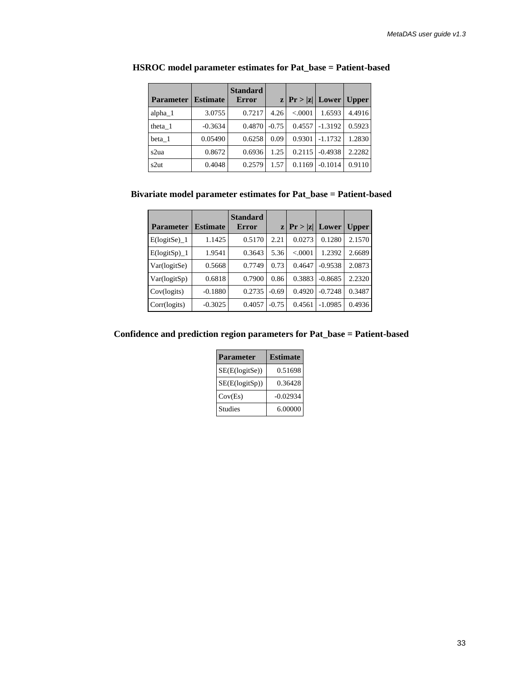| <b>Parameter</b> | <b>Estimate</b> | <b>Standard</b><br><b>Error</b> |         | $ z $ Pr >  z   Lower |           | <b>Upper</b> |
|------------------|-----------------|---------------------------------|---------|-----------------------|-----------|--------------|
| $alpha_1$        | 3.0755          | 0.7217                          | 4.26    | < 0.0001              | 1.6593    | 4.4916       |
| theta 1          | $-0.3634$       | 0.4870                          | $-0.75$ | 0.4557                | $-1.3192$ | 0.5923       |
| beta 1           | 0.05490         | 0.6258                          | 0.09    | 0.9301                | $-1.1732$ | 1.2830       |
| s2ua             | 0.8672          | 0.6936                          | 1.25    | 0.2115                | $-0.4938$ | 2.2282       |
| s2ut             | 0.4048          | 0.2579                          | 1.57    | 0.1169                | $-0.1014$ | 0.9110       |

#### **HSROC model parameter estimates for Pat\_base = Patient-based**

### **Bivariate model parameter estimates for Pat\_base = Patient-based**

| <b>Parameter</b>          | <b>Estimate</b> | <b>Standard</b><br><b>Error</b> |         | $z \,   \, Pr >  z  \,  $ Lower |           | Upper  |
|---------------------------|-----------------|---------------------------------|---------|---------------------------------|-----------|--------|
| $E(logitSe)$ <sup>1</sup> | 1.1425          | 0.5170                          | 2.21    | 0.0273                          | 0.1280    | 2.1570 |
| $E(logitSp)_1$            | 1.9541          | 0.3643                          | 5.36    | < 0.0001                        | 1.2392    | 2.6689 |
| Var(logitSe)              | 0.5668          | 0.7749                          | 0.73    | 0.4647                          | $-0.9538$ | 2.0873 |
| Var(logitSp)              | 0.6818          | 0.7900                          | 0.86    | 0.3883                          | $-0.8685$ | 2.2320 |
| Cov(logits)               | $-0.1880$       | 0.2735                          | $-0.69$ | 0.4920                          | $-0.7248$ | 0.3487 |
| Corr(logits)              | $-0.3025$       | 0.4057                          | $-0.75$ | 0.4561                          | $-1.0985$ | 0.4936 |

#### **Confidence and prediction region parameters for Pat\_base = Patient-based**

| <b>Parameter</b> | <b>Estimate</b> |
|------------------|-----------------|
| SE(E(logitSe))   | 0.51698         |
| SE(E(logitSp))   | 0.36428         |
| Cov(Es)          | $-0.02934$      |
| <b>Studies</b>   | 6.00000         |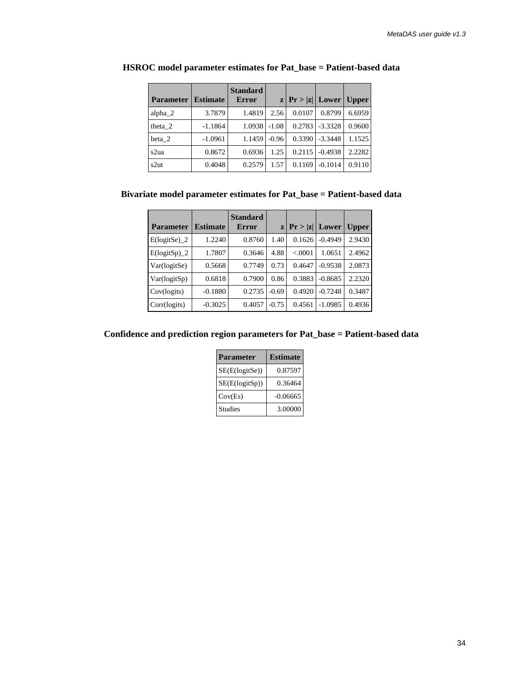| <b>Parameter</b> | <b>Estimate</b> | <b>Standard</b><br><b>Error</b> |         | $ z $ Pr >  z   Lower   Upper |           |        |
|------------------|-----------------|---------------------------------|---------|-------------------------------|-----------|--------|
| alpha $2$        | 3.7879          | 1.4819                          | 2.56    | 0.0107                        | 0.8799    | 6.6959 |
| theta 2          | $-1.1864$       | 1.0938                          | $-1.08$ | 0.2783                        | $-3.3328$ | 0.9600 |
| beta 2           | $-1.0961$       | 1.1459                          | $-0.96$ | 0.3390                        | $-3.3448$ | 1.1525 |
| s2ua             | 0.8672          | 0.6936                          | 1.25    | 0.2115                        | $-0.4938$ | 2.2282 |
| s2ut             | 0.4048          | 0.2579                          | 1.57    | 0.1169                        | $-0.1014$ | 0.9110 |

#### **HSROC model parameter estimates for Pat\_base = Patient-based data**

### **Bivariate model parameter estimates for Pat\_base = Patient-based data**

| <b>Parameter</b> | <b>Estimate</b> | <b>Standard</b><br><b>Error</b> |         | $z \mid Pr >  z $ | Lower     | <b>Upper</b> |
|------------------|-----------------|---------------------------------|---------|-------------------|-----------|--------------|
| $E(logitSe)$ 2   | 1.2240          | 0.8760                          | 1.40    | 0.1626            | $-0.4949$ | 2.9430       |
| $E(logitSp)_2$   | 1.7807          | 0.3646                          | 4.88    | < 0001            | 1.0651    | 2.4962       |
| Var(logitSe)     | 0.5668          | 0.7749                          | 0.73    | 0.4647            | $-0.9538$ | 2.0873       |
| Var(logitSp)     | 0.6818          | 0.7900                          | 0.86    | 0.3883            | $-0.8685$ | 2.2320       |
| Cov(logits)      | $-0.1880$       | 0.2735                          | $-0.69$ | 0.4920            | $-0.7248$ | 0.3487       |
| Corr(logits)     | $-0.3025$       | 0.4057                          | $-0.75$ | 0.4561            | $-1.0985$ | 0.4936       |

#### **Confidence and prediction region parameters for Pat\_base = Patient-based data**

| <b>Parameter</b> | <b>Estimate</b> |
|------------------|-----------------|
| SE(E(logitSe))   | 0.87597         |
| SE(E(logitSp))   | 0.36464         |
| Cov(Es)          | $-0.06665$      |
| <b>Studies</b>   | 3.00000         |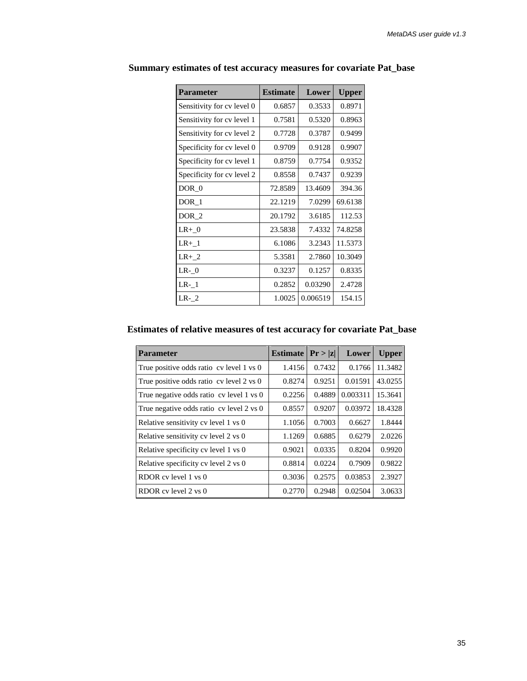| <b>Parameter</b>           | <b>Estimate</b> | Lower    | <b>Upper</b> |
|----------------------------|-----------------|----------|--------------|
| Sensitivity for cy level 0 | 0.6857          | 0.3533   | 0.8971       |
| Sensitivity for cy level 1 | 0.7581          | 0.5320   | 0.8963       |
| Sensitivity for cy level 2 | 0.7728          | 0.3787   | 0.9499       |
| Specificity for cv level 0 | 0.9709          | 0.9128   | 0.9907       |
| Specificity for cv level 1 | 0.8759          | 0.7754   | 0.9352       |
| Specificity for cy level 2 | 0.8558          | 0.7437   | 0.9239       |
| DOR 0                      | 72.8589         | 13.4609  | 394.36       |
| DOR 1                      | 22.1219         | 7.0299   | 69.6138      |
| DOR <sub>2</sub>           | 20.1792         | 3.6185   | 112.53       |
| $LR+ 0$                    | 23.5838         | 7.4332   | 74.8258      |
| $LR+$ <sup>1</sup>         | 6.1086          | 3.2343   | 11.5373      |
| $LR+2$                     | 5.3581          | 2.7860   | 10.3049      |
| $LR-0$                     | 0.3237          | 0.1257   | 0.8335       |
| $LR-1$                     | 0.2852          | 0.03290  | 2.4728       |
| $LR-2$                     | 1.0025          | 0.006519 | 154.15       |

 **Summary estimates of test accuracy measures for covariate Pat\_base**

# **Estimates of relative measures of test accuracy for covariate Pat\_base**

| <b>Parameter</b>                         | <b>Estimate</b> | Pr >  z | Lower    | <b>Upper</b> |
|------------------------------------------|-----------------|---------|----------|--------------|
| True positive odds ratio cv level 1 vs 0 | 1.4156          | 0.7432  | 0.1766   | 11.3482      |
| True positive odds ratio cv level 2 vs 0 | 0.8274          | 0.9251  | 0.01591  | 43.0255      |
| True negative odds ratio cv level 1 vs 0 | 0.2256          | 0.4889  | 0.003311 | 15.3641      |
| True negative odds ratio cv level 2 vs 0 | 0.8557          | 0.9207  | 0.03972  | 18.4328      |
| Relative sensitivity cv level 1 vs 0     | 1.1056          | 0.7003  | 0.6627   | 1.8444       |
| Relative sensitivity cv level 2 vs 0     | 1.1269          | 0.6885  | 0.6279   | 2.0226       |
| Relative specificity cv level 1 vs 0     | 0.9021          | 0.0335  | 0.8204   | 0.9920       |
| Relative specificity cv level 2 vs 0     | 0.8814          | 0.0224  | 0.7909   | 0.9822       |
| RDOR cv level 1 vs 0                     | 0.3036          | 0.2575  | 0.03853  | 2.3927       |
| RDOR cy level 2 ys 0                     | 0.2770          | 0.2948  | 0.02504  | 3.0633       |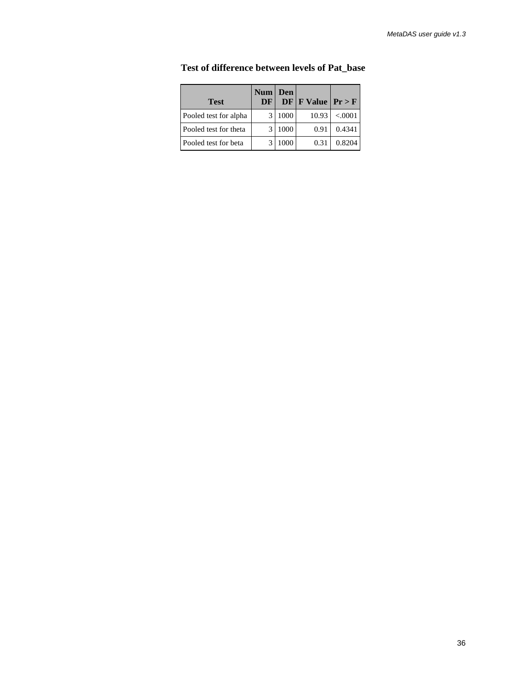| <b>Test</b>           | $Num \mid$<br>DF | Den  | $DF F$ Value $Pr > F$ |         |
|-----------------------|------------------|------|-----------------------|---------|
| Pooled test for alpha |                  | 1000 | 10.93                 | < .0001 |
| Pooled test for theta |                  | 1000 | 0.91                  | 0.4341  |
| Pooled test for beta  |                  | 1000 | 0.31                  | 0.8204  |

 **Test of difference between levels of Pat\_base**